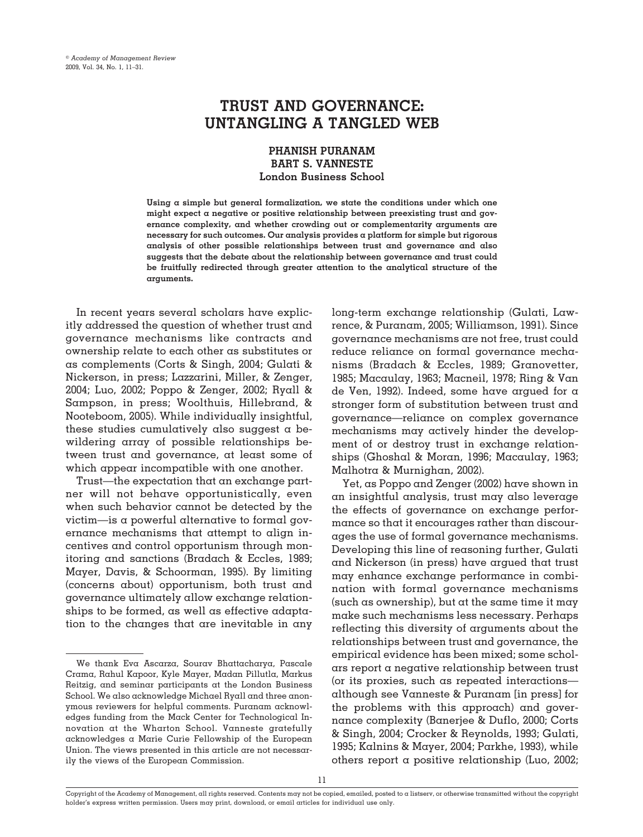# **TRUST AND GOVERNANCE: UNTANGLING A TANGLED WEB**

# **PHANISH PURANAM BART S. VANNESTE London Business School**

**Using a simple but general formalization, we state the conditions under which one might expect a negative or positive relationship between preexisting trust and governance complexity, and whether crowding out or complementarity arguments are necessary for such outcomes. Our analysis provides a platform for simple but rigorous analysis of other possible relationships between trust and governance and also suggests that the debate about the relationship between governance and trust could be fruitfully redirected through greater attention to the analytical structure of the arguments.**

In recent years several scholars have explicitly addressed the question of whether trust and governance mechanisms like contracts and ownership relate to each other as substitutes or as complements (Corts & Singh, 2004; Gulati & Nickerson, in press; Lazzarini, Miller, & Zenger, 2004; Luo, 2002; Poppo & Zenger, 2002; Ryall & Sampson, in press; Woolthuis, Hillebrand, & Nooteboom, 2005). While individually insightful, these studies cumulatively also suggest a bewildering array of possible relationships between trust and governance, at least some of which appear incompatible with one another.

Trust—the expectation that an exchange partner will not behave opportunistically, even when such behavior cannot be detected by the victim—is a powerful alternative to formal governance mechanisms that attempt to align incentives and control opportunism through monitoring and sanctions (Bradach & Eccles, 1989; Mayer, Davis, & Schoorman, 1995). By limiting (concerns about) opportunism, both trust and governance ultimately allow exchange relationships to be formed, as well as effective adaptation to the changes that are inevitable in any long-term exchange relationship (Gulati, Lawrence, & Puranam, 2005; Williamson, 1991). Since governance mechanisms are not free, trust could reduce reliance on formal governance mechanisms (Bradach & Eccles, 1989; Granovetter, 1985; Macaulay, 1963; Macneil, 1978; Ring & Van de Ven, 1992). Indeed, some have argued for a stronger form of substitution between trust and governance—reliance on complex governance mechanisms may actively hinder the development of or destroy trust in exchange relationships (Ghoshal & Moran, 1996; Macaulay, 1963; Malhotra & Murnighan, 2002).

Yet, as Poppo and Zenger (2002) have shown in an insightful analysis, trust may also leverage the effects of governance on exchange performance so that it encourages rather than discourages the use of formal governance mechanisms. Developing this line of reasoning further, Gulati and Nickerson (in press) have argued that trust may enhance exchange performance in combination with formal governance mechanisms (such as ownership), but at the same time it may make such mechanisms less necessary. Perhaps reflecting this diversity of arguments about the relationships between trust and governance, the empirical evidence has been mixed; some scholars report a negative relationship between trust (or its proxies, such as repeated interactions although see Vanneste & Puranam [in press] for the problems with this approach) and governance complexity (Banerjee & Duflo, 2000; Corts & Singh, 2004; Crocker & Reynolds, 1993; Gulati, 1995; Kalnins & Mayer, 2004; Parkhe, 1993), while others report a positive relationship (Luo, 2002;

We thank Eva Ascarza, Sourav Bhattacharya, Pascale Crama, Rahul Kapoor, Kyle Mayer, Madan Pillutla, Markus Reitzig, and seminar participants at the London Business School. We also acknowledge Michael Ryall and three anonymous reviewers for helpful comments. Puranam acknowledges funding from the Mack Center for Technological Innovation at the Wharton School. Vanneste gratefully acknowledges a Marie Curie Fellowship of the European Union. The views presented in this article are not necessarily the views of the European Commission.

Copyright of the Academy of Management, all rights reserved. Contents may not be copied, emailed, posted to a listserv, or otherwise transmitted without the copyright holder's express written permission. Users may print, download, or email articles for individual use only.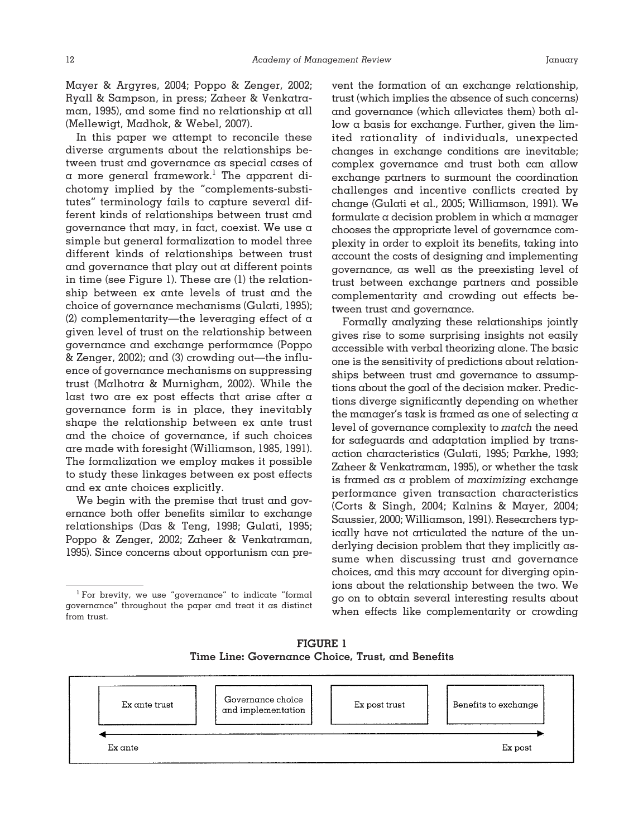Mayer & Argyres, 2004; Poppo & Zenger, 2002; Ryall & Sampson, in press; Zaheer & Venkatraman, 1995), and some find no relationship at all (Mellewigt, Madhok, & Webel, 2007).

In this paper we attempt to reconcile these diverse arguments about the relationships between trust and governance as special cases of  $\alpha$  more general framework.<sup>1</sup> The apparent dichotomy implied by the "complements-substitutes" terminology fails to capture several different kinds of relationships between trust and governance that may, in fact, coexist. We use a simple but general formalization to model three different kinds of relationships between trust and governance that play out at different points in time (see Figure 1). These are (1) the relationship between ex ante levels of trust and the choice of governance mechanisms (Gulati, 1995); (2) complementarity—the leveraging effect of  $\alpha$ given level of trust on the relationship between governance and exchange performance (Poppo & Zenger, 2002); and (3) crowding out—the influence of governance mechanisms on suppressing trust (Malhotra & Murnighan, 2002). While the last two are ex post effects that arise after a governance form is in place, they inevitably shape the relationship between ex ante trust and the choice of governance, if such choices are made with foresight (Williamson, 1985, 1991). The formalization we employ makes it possible to study these linkages between ex post effects and ex ante choices explicitly.

We begin with the premise that trust and governance both offer benefits similar to exchange relationships (Das & Teng, 1998; Gulati, 1995; Poppo & Zenger, 2002; Zaheer & Venkatraman, 1995). Since concerns about opportunism can prevent the formation of an exchange relationship, trust (which implies the absence of such concerns) and governance (which alleviates them) both allow a basis for exchange. Further, given the limited rationality of individuals, unexpected changes in exchange conditions are inevitable; complex governance and trust both can allow exchange partners to surmount the coordination challenges and incentive conflicts created by change (Gulati et al., 2005; Williamson, 1991). We formulate a decision problem in which a manager chooses the appropriate level of governance complexity in order to exploit its benefits, taking into account the costs of designing and implementing governance, as well as the preexisting level of trust between exchange partners and possible complementarity and crowding out effects between trust and governance.

Formally analyzing these relationships jointly gives rise to some surprising insights not easily accessible with verbal theorizing alone. The basic one is the sensitivity of predictions about relationships between trust and governance to assumptions about the goal of the decision maker. Predictions diverge significantly depending on whether the manager's task is framed as one of selecting a level of governance complexity to *match* the need for safeguards and adaptation implied by transaction characteristics (Gulati, 1995; Parkhe, 1993; Zaheer & Venkatraman, 1995), or whether the task is framed as a problem of *maximizing* exchange performance given transaction characteristics (Corts & Singh, 2004; Kalnins & Mayer, 2004; Saussier, 2000; Williamson, 1991). Researchers typically have not articulated the nature of the underlying decision problem that they implicitly assume when discussing trust and governance choices, and this may account for diverging opinions about the relationship between the two. We go on to obtain several interesting results about when effects like complementarity or crowding

**FIGURE 1 Time Line: Governance Choice, Trust, and Benefits**



<sup>&</sup>lt;sup>1</sup> For brevity, we use "governance" to indicate "formal governance" throughout the paper and treat it as distinct from trust.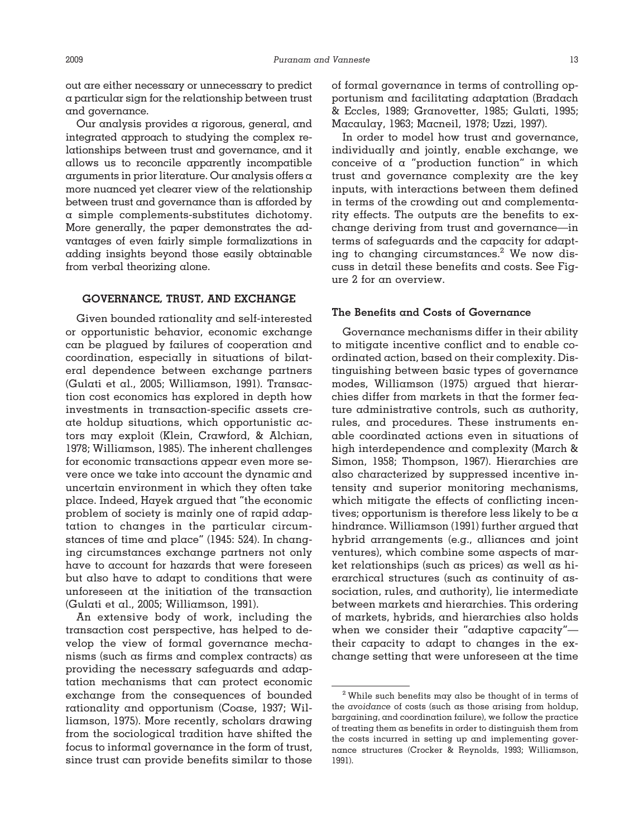out are either necessary or unnecessary to predict a particular sign for the relationship between trust and governance.

Our analysis provides a rigorous, general, and integrated approach to studying the complex relationships between trust and governance, and it allows us to reconcile apparently incompatible arguments in prior literature. Our analysis offers a more nuanced yet clearer view of the relationship between trust and governance than is afforded by a simple complements-substitutes dichotomy. More generally, the paper demonstrates the advantages of even fairly simple formalizations in adding insights beyond those easily obtainable from verbal theorizing alone.

## **GOVERNANCE, TRUST, AND EXCHANGE**

Given bounded rationality and self-interested or opportunistic behavior, economic exchange can be plagued by failures of cooperation and coordination, especially in situations of bilateral dependence between exchange partners (Gulati et al., 2005; Williamson, 1991). Transaction cost economics has explored in depth how investments in transaction-specific assets create holdup situations, which opportunistic actors may exploit (Klein, Crawford, & Alchian, 1978; Williamson, 1985). The inherent challenges for economic transactions appear even more severe once we take into account the dynamic and uncertain environment in which they often take place. Indeed, Hayek argued that "the economic problem of society is mainly one of rapid adaptation to changes in the particular circumstances of time and place" (1945: 524). In changing circumstances exchange partners not only have to account for hazards that were foreseen but also have to adapt to conditions that were unforeseen at the initiation of the transaction (Gulati et al., 2005; Williamson, 1991).

An extensive body of work, including the transaction cost perspective, has helped to develop the view of formal governance mechanisms (such as firms and complex contracts) as providing the necessary safeguards and adaptation mechanisms that can protect economic exchange from the consequences of bounded rationality and opportunism (Coase, 1937; Williamson, 1975). More recently, scholars drawing from the sociological tradition have shifted the focus to informal governance in the form of trust, since trust can provide benefits similar to those of formal governance in terms of controlling opportunism and facilitating adaptation (Bradach & Eccles, 1989; Granovetter, 1985; Gulati, 1995; Macaulay, 1963; Macneil, 1978; Uzzi, 1997).

In order to model how trust and governance, individually and jointly, enable exchange, we conceive of a "production function" in which trust and governance complexity are the key inputs, with interactions between them defined in terms of the crowding out and complementarity effects. The outputs are the benefits to exchange deriving from trust and governance—in terms of safeguards and the capacity for adapting to changing circumstances.2 We now discuss in detail these benefits and costs. See Figure 2 for an overview.

#### **The Benefits and Costs of Governance**

Governance mechanisms differ in their ability to mitigate incentive conflict and to enable coordinated action, based on their complexity. Distinguishing between basic types of governance modes, Williamson (1975) argued that hierarchies differ from markets in that the former feature administrative controls, such as authority, rules, and procedures. These instruments enable coordinated actions even in situations of high interdependence and complexity (March & Simon, 1958; Thompson, 1967). Hierarchies are also characterized by suppressed incentive intensity and superior monitoring mechanisms, which mitigate the effects of conflicting incentives; opportunism is therefore less likely to be a hindrance. Williamson (1991) further argued that hybrid arrangements (e.g., alliances and joint ventures), which combine some aspects of market relationships (such as prices) as well as hierarchical structures (such as continuity of association, rules, and authority), lie intermediate between markets and hierarchies. This ordering of markets, hybrids, and hierarchies also holds when we consider their "adaptive capacity" their capacity to adapt to changes in the exchange setting that were unforeseen at the time

 $^{\rm 2}$  While such benefits may also be thought of in terms of the *avoidance* of costs (such as those arising from holdup, bargaining, and coordination failure), we follow the practice of treating them as benefits in order to distinguish them from the costs incurred in setting up and implementing governance structures (Crocker & Reynolds, 1993; Williamson, 1991).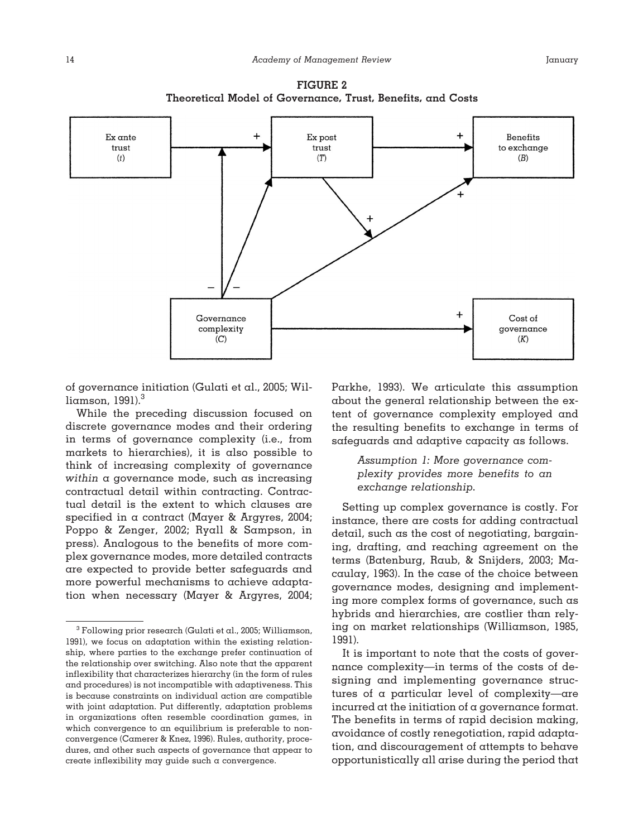



of governance initiation (Gulati et al., 2005; Williamson,  $1991$ <sup>3</sup>

While the preceding discussion focused on discrete governance modes and their ordering in terms of governance complexity (i.e., from markets to hierarchies), it is also possible to think of increasing complexity of governance *within* a governance mode, such as increasing contractual detail within contracting. Contractual detail is the extent to which clauses are specified in a contract (Mayer & Argyres, 2004; Poppo & Zenger, 2002; Ryall & Sampson, in press). Analogous to the benefits of more complex governance modes, more detailed contracts are expected to provide better safeguards and more powerful mechanisms to achieve adaptation when necessary (Mayer & Argyres, 2004;

Parkhe, 1993). We articulate this assumption about the general relationship between the extent of governance complexity employed and the resulting benefits to exchange in terms of safeguards and adaptive capacity as follows.

# *Assumption 1: More governance complexity provides more benefits to an exchange relationship.*

Setting up complex governance is costly. For instance, there are costs for adding contractual detail, such as the cost of negotiating, bargaining, drafting, and reaching agreement on the terms (Batenburg, Raub, & Snijders, 2003; Macaulay, 1963). In the case of the choice between governance modes, designing and implementing more complex forms of governance, such as hybrids and hierarchies, are costlier than relying on market relationships (Williamson, 1985, 1991).

 $3$  Following prior research (Gulati et al., 2005; Williamson, 1991), we focus on adaptation within the existing relationship, where parties to the exchange prefer continuation of the relationship over switching. Also note that the apparent inflexibility that characterizes hierarchy (in the form of rules and procedures) is not incompatible with adaptiveness. This is because constraints on individual action are compatible with joint adaptation. Put differently, adaptation problems in organizations often resemble coordination games, in which convergence to an equilibrium is preferable to nonconvergence (Camerer & Knez, 1996). Rules, authority, procedures, and other such aspects of governance that appear to create inflexibility may guide such a convergence.

It is important to note that the costs of governance complexity—in terms of the costs of designing and implementing governance structures of a particular level of complexity—are incurred at the initiation of a governance format. The benefits in terms of rapid decision making, avoidance of costly renegotiation, rapid adaptation, and discouragement of attempts to behave opportunistically all arise during the period that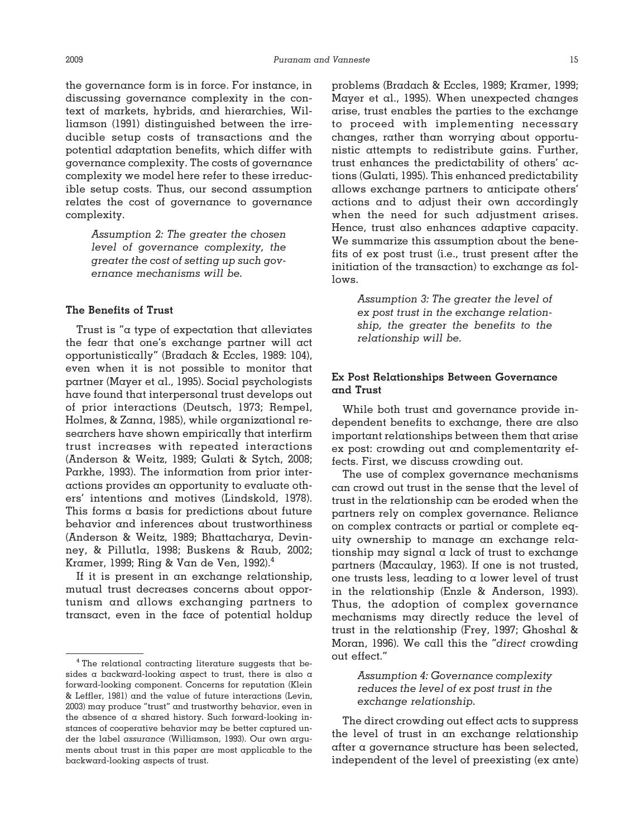the governance form is in force. For instance, in discussing governance complexity in the context of markets, hybrids, and hierarchies, Williamson (1991) distinguished between the irreducible setup costs of transactions and the potential adaptation benefits, which differ with governance complexity. The costs of governance complexity we model here refer to these irreducible setup costs. Thus, our second assumption relates the cost of governance to governance complexity.

> *Assumption 2: The greater the chosen level of governance complexity, the greater the cost of setting up such governance mechanisms will be.*

### **The Benefits of Trust**

Trust is "a type of expectation that alleviates the fear that one's exchange partner will act opportunistically" (Bradach & Eccles, 1989: 104), even when it is not possible to monitor that partner (Mayer et al., 1995). Social psychologists have found that interpersonal trust develops out of prior interactions (Deutsch, 1973; Rempel, Holmes, & Zanna, 1985), while organizational researchers have shown empirically that interfirm trust increases with repeated interactions (Anderson & Weitz, 1989; Gulati & Sytch, 2008; Parkhe, 1993). The information from prior interactions provides an opportunity to evaluate others' intentions and motives (Lindskold, 1978). This forms a basis for predictions about future behavior and inferences about trustworthiness (Anderson & Weitz, 1989; Bhattacharya, Devinney, & Pillutla, 1998; Buskens & Raub, 2002; Kramer, 1999; Ring & Van de Ven, 1992).4

If it is present in an exchange relationship, mutual trust decreases concerns about opportunism and allows exchanging partners to transact, even in the face of potential holdup problems (Bradach & Eccles, 1989; Kramer, 1999; Mayer et al., 1995). When unexpected changes arise, trust enables the parties to the exchange to proceed with implementing necessary changes, rather than worrying about opportunistic attempts to redistribute gains. Further, trust enhances the predictability of others' actions (Gulati, 1995). This enhanced predictability allows exchange partners to anticipate others' actions and to adjust their own accordingly when the need for such adjustment arises. Hence, trust also enhances adaptive capacity. We summarize this assumption about the benefits of ex post trust (i.e., trust present after the initiation of the transaction) to exchange as follows.

> *Assumption 3: The greater the level of ex post trust in the exchange relationship, the greater the benefits to the relationship will be.*

# **Ex Post Relationships Between Governance and Trust**

While both trust and governance provide independent benefits to exchange, there are also important relationships between them that arise ex post: crowding out and complementarity effects. First, we discuss crowding out.

The use of complex governance mechanisms can crowd out trust in the sense that the level of trust in the relationship can be eroded when the partners rely on complex governance. Reliance on complex contracts or partial or complete equity ownership to manage an exchange relationship may signal a lack of trust to exchange partners (Macaulay, 1963). If one is not trusted, one trusts less, leading to  $\alpha$  lower level of trust in the relationship (Enzle & Anderson, 1993). Thus, the adoption of complex governance mechanisms may directly reduce the level of trust in the relationship (Frey, 1997; Ghoshal & Moran, 1996). We call this the "*direct* crowding out effect."

# *Assumption 4: Governance complexity reduces the level of ex post trust in the exchange relationship.*

The direct crowding out effect acts to suppress the level of trust in an exchange relationship after a governance structure has been selected, independent of the level of preexisting (ex ante)

<sup>4</sup> The relational contracting literature suggests that besides a backward-looking aspect to trust, there is also a forward-looking component. Concerns for reputation (Klein & Leffler, 1981) and the value of future interactions (Levin, 2003) may produce "trust" and trustworthy behavior, even in the absence of a shared history. Such forward-looking instances of cooperative behavior may be better captured under the label *assurance* (Williamson, 1993). Our own arguments about trust in this paper are most applicable to the backward-looking aspects of trust.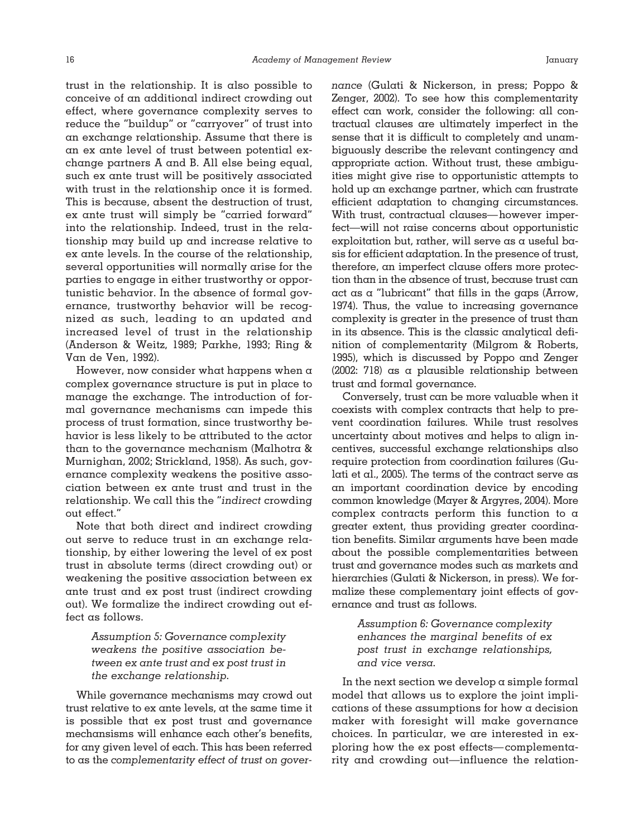trust in the relationship. It is also possible to conceive of an additional indirect crowding out effect, where governance complexity serves to reduce the "buildup" or "carryover" of trust into an exchange relationship. Assume that there is an ex ante level of trust between potential exchange partners A and B. All else being equal, such ex ante trust will be positively associated with trust in the relationship once it is formed. This is because, absent the destruction of trust, ex ante trust will simply be "carried forward" into the relationship. Indeed, trust in the relationship may build up and increase relative to ex ante levels. In the course of the relationship, several opportunities will normally arise for the parties to engage in either trustworthy or opportunistic behavior. In the absence of formal governance, trustworthy behavior will be recognized as such, leading to an updated and increased level of trust in the relationship (Anderson & Weitz, 1989; Parkhe, 1993; Ring & Van de Ven, 1992).

However, now consider what happens when  $\alpha$ complex governance structure is put in place to manage the exchange. The introduction of formal governance mechanisms can impede this process of trust formation, since trustworthy behavior is less likely to be attributed to the actor than to the governance mechanism (Malhotra & Murnighan, 2002; Strickland, 1958). As such, governance complexity weakens the positive association between ex ante trust and trust in the relationship. We call this the "*indirect* crowding out effect."

Note that both direct and indirect crowding out serve to reduce trust in an exchange relationship, by either lowering the level of ex post trust in absolute terms (direct crowding out) or weakening the positive association between ex ante trust and ex post trust (indirect crowding out). We formalize the indirect crowding out effect as follows.

> *Assumption 5: Governance complexity weakens the positive association between ex ante trust and ex post trust in the exchange relationship.*

While governance mechanisms may crowd out trust relative to ex ante levels, at the same time it is possible that ex post trust and governance mechansisms will enhance each other's benefits, for any given level of each. This has been referred to as the *complementarity effect of trust on gover-* *nance* (Gulati & Nickerson, in press; Poppo & Zenger, 2002). To see how this complementarity effect can work, consider the following: all contractual clauses are ultimately imperfect in the sense that it is difficult to completely and unambiguously describe the relevant contingency and appropriate action. Without trust, these ambiguities might give rise to opportunistic attempts to hold up an exchange partner, which can frustrate efficient adaptation to changing circumstances. With trust, contractual clauses—however imperfect—will not raise concerns about opportunistic exploitation but, rather, will serve as a useful basis for efficient adaptation. In the presence of trust, therefore, an imperfect clause offers more protection than in the absence of trust, because trust can act as a "lubricant" that fills in the gaps (Arrow, 1974). Thus, the value to increasing governance complexity is greater in the presence of trust than in its absence. This is the classic analytical definition of complementarity (Milgrom & Roberts, 1995), which is discussed by Poppo and Zenger (2002: 718) as a plausible relationship between trust and formal governance.

Conversely, trust can be more valuable when it coexists with complex contracts that help to prevent coordination failures. While trust resolves uncertainty about motives and helps to align incentives, successful exchange relationships also require protection from coordination failures (Gulati et al., 2005). The terms of the contract serve as an important coordination device by encoding common knowledge (Mayer & Argyres, 2004). More complex contracts perform this function to a greater extent, thus providing greater coordination benefits. Similar arguments have been made about the possible complementarities between trust and governance modes such as markets and hierarchies (Gulati & Nickerson, in press). We formalize these complementary joint effects of governance and trust as follows.

> *Assumption 6: Governance complexity enhances the marginal benefits of ex post trust in exchange relationships, and vice versa.*

In the next section we develop  $\alpha$  simple formal model that allows us to explore the joint implications of these assumptions for how a decision maker with foresight will make governance choices. In particular, we are interested in exploring how the ex post effects— complementarity and crowding out—influence the relation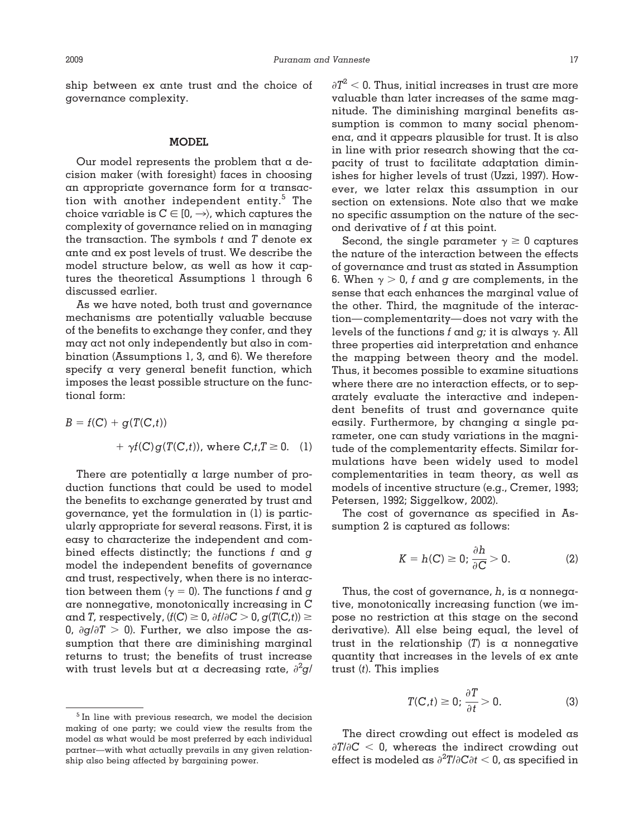ship between ex ante trust and the choice of governance complexity.

#### **MODEL**

Our model represents the problem that a decision maker (with foresight) faces in choosing an appropriate governance form for a transaction with another independent entity.<sup>5</sup> The choice variable is  $C \in [0, \rightarrow)$ , which captures the complexity of governance relied on in managing the transaction. The symbols *t* and *T* denote ex ante and ex post levels of trust. We describe the model structure below, as well as how it captures the theoretical Assumptions 1 through 6 discussed earlier.

As we have noted, both trust and governance mechanisms are potentially valuable because of the benefits to exchange they confer, and they may act not only independently but also in combination (Assumptions 1, 3, and 6). We therefore specify a very general benefit function, which imposes the least possible structure on the functional form:

$$
B = f(C) + g(T(C,t))
$$
  
+  $\gamma f(C)g(T(C,t))$ , where  $C, t, T \ge 0$ . (1)

There are potentially a large number of production functions that could be used to model the benefits to exchange generated by trust and governance, yet the formulation in (1) is particularly appropriate for several reasons. First, it is easy to characterize the independent and combined effects distinctly; the functions *f* and *g* model the independent benefits of governance and trust, respectively, when there is no interaction between them ( $\gamma = 0$ ). The functions *f* and *g* are nonnegative, monotonically increasing in *C* and *T*, respectively,  $(f(C) \geq 0, \partial f/\partial C > 0, g(T(C,t)) \geq 0$ 0,  $\partial g/\partial T > 0$ ). Further, we also impose the assumption that there are diminishing marginal returns to trust; the benefits of trust increase with trust levels but at a decreasing rate,  $\partial^2 g/$ 

 $\partial T^2$  < 0. Thus, initial increases in trust are more valuable than later increases of the same magnitude. The diminishing marginal benefits assumption is common to many social phenomena, and it appears plausible for trust. It is also in line with prior research showing that the capacity of trust to facilitate adaptation diminishes for higher levels of trust (Uzzi, 1997). However, we later relax this assumption in our section on extensions. Note also that we make no specific assumption on the nature of the second derivative of *f* at this point.

Second, the single parameter  $\gamma \geq 0$  captures the nature of the interaction between the effects of governance and trust as stated in Assumption 6. When  $\gamma > 0$ , *f* and *g* are complements, in the sense that each enhances the marginal value of the other. Third, the magnitude of the interaction— complementarity—does not vary with the levels of the functions  $f$  and  $g$ ; it is always  $\gamma$ . All three properties aid interpretation and enhance the mapping between theory and the model. Thus, it becomes possible to examine situations where there are no interaction effects, or to separately evaluate the interactive and independent benefits of trust and governance quite easily. Furthermore, by changing a single parameter, one can study variations in the magnitude of the complementarity effects. Similar formulations have been widely used to model complementarities in team theory, as well as models of incentive structure (e.g., Cremer, 1993; Petersen, 1992; Siggelkow, 2002).

The cost of governance as specified in Assumption 2 is captured as follows:

$$
K = h(C) \ge 0; \frac{\partial h}{\partial C} > 0.
$$
 (2)

Thus, the cost of governance,  $h$ , is a nonnegative, monotonically increasing function (we impose no restriction at this stage on the second derivative). All else being equal, the level of trust in the relationship  $(T)$  is a nonnegative quantity that increases in the levels of ex ante trust (*t*). This implies

$$
T(C,t) \ge 0; \frac{\partial T}{\partial t} > 0.
$$
 (3)

The direct crowding out effect is modeled as  $\partial T/\partial C$  < 0, whereas the indirect crowding out effect is modeled as  $\partial^2 T / \partial \mathbf{C} \partial t < 0$ , as specified in

<sup>5</sup> In line with previous research, we model the decision making of one party; we could view the results from the model as what would be most preferred by each individual partner—with what actually prevails in any given relationship also being affected by bargaining power.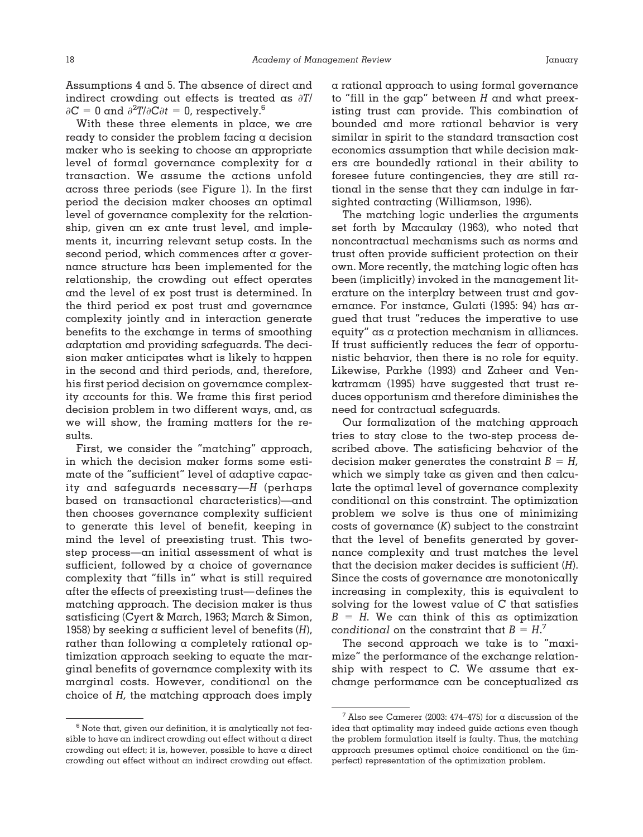Assumptions 4 and 5. The absence of direct and indirect crowding out effects is treated as *T*/  $\partial C = 0$  and  $\partial^2 T / \partial \dot{C} \partial t = 0$ , respectively.<sup>6</sup>

With these three elements in place, we are ready to consider the problem facing a decision maker who is seeking to choose an appropriate level of formal governance complexity for a transaction. We assume the actions unfold across three periods (see Figure 1). In the first period the decision maker chooses an optimal level of governance complexity for the relationship, given an ex ante trust level, and implements it, incurring relevant setup costs. In the second period, which commences after a governance structure has been implemented for the relationship, the crowding out effect operates and the level of ex post trust is determined. In the third period ex post trust and governance complexity jointly and in interaction generate benefits to the exchange in terms of smoothing adaptation and providing safeguards. The decision maker anticipates what is likely to happen in the second and third periods, and, therefore, his first period decision on governance complexity accounts for this. We frame this first period decision problem in two different ways, and, as we will show, the framing matters for the results.

First, we consider the "matching" approach, in which the decision maker forms some estimate of the "sufficient" level of adaptive capacity and safeguards necessary—*H* (perhaps based on transactional characteristics)—and then chooses governance complexity sufficient to generate this level of benefit, keeping in mind the level of preexisting trust. This twostep process—an initial assessment of what is sufficient, followed by a choice of governance complexity that "fills in" what is still required after the effects of preexisting trust—defines the matching approach. The decision maker is thus satisficing (Cyert & March, 1963; March & Simon, 1958) by seeking a sufficient level of benefits (*H*), rather than following a completely rational optimization approach seeking to equate the marginal benefits of governance complexity with its marginal costs. However, conditional on the choice of *H,* the matching approach does imply

 $6$  Note that, given our definition, it is analytically not feasible to have an indirect crowding out effect without a direct crowding out effect; it is, however, possible to have a direct crowding out effect without an indirect crowding out effect.

a rational approach to using formal governance to "fill in the gap" between *H* and what preexisting trust can provide. This combination of bounded and more rational behavior is very similar in spirit to the standard transaction cost economics assumption that while decision makers are boundedly rational in their ability to foresee future contingencies, they are still rational in the sense that they can indulge in farsighted contracting (Williamson, 1996).

The matching logic underlies the arguments set forth by Macaulay (1963), who noted that noncontractual mechanisms such as norms and trust often provide sufficient protection on their own. More recently, the matching logic often has been (implicitly) invoked in the management literature on the interplay between trust and governance. For instance, Gulati (1995: 94) has argued that trust "reduces the imperative to use equity" as a protection mechanism in alliances. If trust sufficiently reduces the fear of opportunistic behavior, then there is no role for equity. Likewise, Parkhe (1993) and Zaheer and Venkatraman (1995) have suggested that trust reduces opportunism and therefore diminishes the need for contractual safeguards.

Our formalization of the matching approach tries to stay close to the two-step process described above. The satisficing behavior of the decision maker generates the constraint  $B = H$ , which we simply take as given and then calculate the optimal level of governance complexity conditional on this constraint. The optimization problem we solve is thus one of minimizing costs of governance (*K*) subject to the constraint that the level of benefits generated by governance complexity and trust matches the level that the decision maker decides is sufficient (*H*). Since the costs of governance are monotonically increasing in complexity, this is equivalent to solving for the lowest value of *C* that satisfies  $B$  =  $H$ . We can think of this as optimization *conditional* on the constraint that  $B = H$ .<sup>7</sup>

The second approach we take is to "maximize" the performance of the exchange relationship with respect to *C.* We assume that exchange performance can be conceptualized as

<sup>&</sup>lt;sup>7</sup> Also see Camerer (2003: 474–475) for a discussion of the idea that optimality may indeed guide actions even though the problem formulation itself is faulty. Thus, the matching approach presumes optimal choice conditional on the (imperfect) representation of the optimization problem.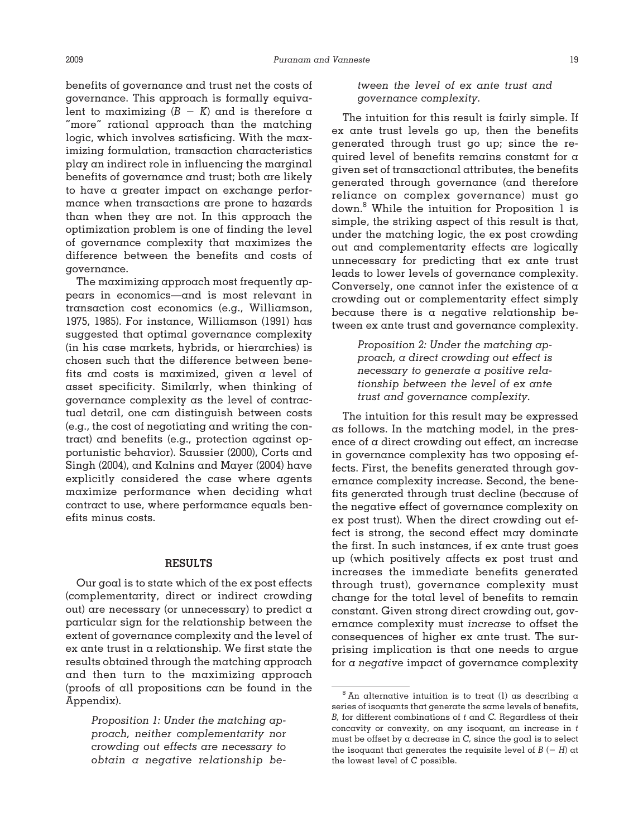benefits of governance and trust net the costs of governance. This approach is formally equivalent to maximizing  $(B - K)$  and is therefore a "more" rational approach than the matching logic, which involves satisficing. With the maximizing formulation, transaction characteristics play an indirect role in influencing the marginal benefits of governance and trust; both are likely to have a greater impact on exchange performance when transactions are prone to hazards than when they are not. In this approach the optimization problem is one of finding the level of governance complexity that maximizes the difference between the benefits and costs of governance.

The maximizing approach most frequently appears in economics—and is most relevant in transaction cost economics (e.g., Williamson, 1975, 1985). For instance, Williamson (1991) has suggested that optimal governance complexity (in his case markets, hybrids, or hierarchies) is chosen such that the difference between benefits and costs is maximized, given a level of asset specificity. Similarly, when thinking of governance complexity as the level of contractual detail, one can distinguish between costs (e.g., the cost of negotiating and writing the contract) and benefits (e.g., protection against opportunistic behavior). Saussier (2000), Corts and Singh (2004), and Kalnins and Mayer (2004) have explicitly considered the case where agents maximize performance when deciding what contract to use, where performance equals benefits minus costs.

#### **RESULTS**

Our goal is to state which of the ex post effects (complementarity, direct or indirect crowding out) are necessary (or unnecessary) to predict a particular sign for the relationship between the extent of governance complexity and the level of ex ante trust in a relationship. We first state the results obtained through the matching approach and then turn to the maximizing approach (proofs of all propositions can be found in the Appendix).

> *Proposition 1: Under the matching approach, neither complementarity nor crowding out effects are necessary to obtain a negative relationship be-*

*tween the level of ex ante trust and governance complexity.*

The intuition for this result is fairly simple. If ex ante trust levels go up, then the benefits generated through trust go up; since the required level of benefits remains constant for a given set of transactional attributes, the benefits generated through governance (and therefore reliance on complex governance) must go down.8 While the intuition for Proposition 1 is simple, the striking aspect of this result is that, under the matching logic, the ex post crowding out and complementarity effects are logically unnecessary for predicting that ex ante trust leads to lower levels of governance complexity. Conversely, one cannot infer the existence of a crowding out or complementarity effect simply because there is a negative relationship between ex ante trust and governance complexity.

> *Proposition 2: Under the matching approach, a direct crowding out effect is necessary to generate a positive relationship between the level of ex ante trust and governance complexity.*

The intuition for this result may be expressed as follows. In the matching model, in the presence of a direct crowding out effect, an increase in governance complexity has two opposing effects. First, the benefits generated through governance complexity increase. Second, the benefits generated through trust decline (because of the negative effect of governance complexity on ex post trust). When the direct crowding out effect is strong, the second effect may dominate the first. In such instances, if ex ante trust goes up (which positively affects ex post trust and increases the immediate benefits generated through trust), governance complexity must change for the total level of benefits to remain constant. Given strong direct crowding out, governance complexity must *increase* to offset the consequences of higher ex ante trust. The surprising implication is that one needs to argue for a *negative* impact of governance complexity

 $8$  An alternative intuition is to treat (1) as describing a series of isoquants that generate the same levels of benefits, *B,* for different combinations of *t* and *C.* Regardless of their concavity or convexity, on any isoquant, an increase in *t* must be offset by a decrease in *C,* since the goal is to select the isoquant that generates the requisite level of  $B$  (=  $H$ ) at the lowest level of *C* possible.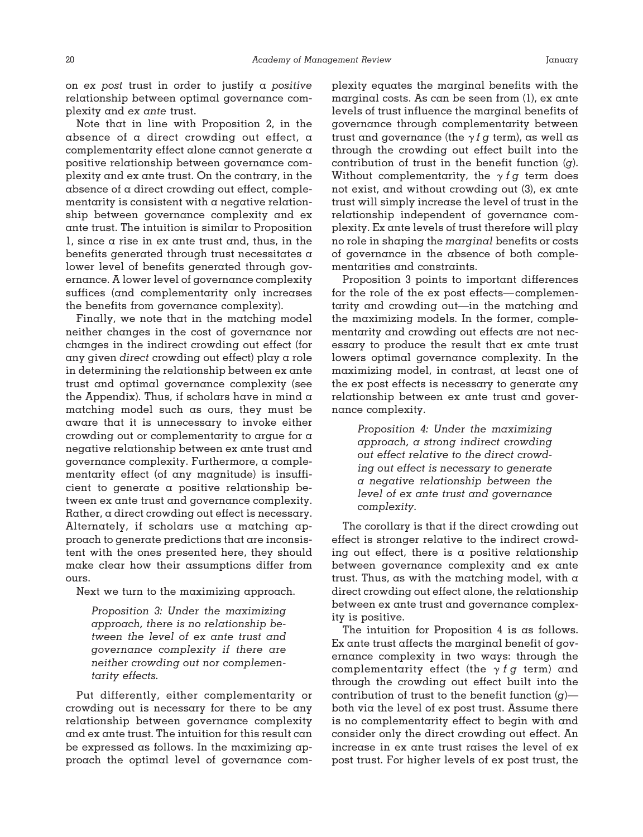on *ex post* trust in order to justify a *positive* relationship between optimal governance complexity and *ex ante* trust.

Note that in line with Proposition 2, in the absence of a direct crowding out effect, a complementarity effect alone cannot generate a positive relationship between governance complexity and ex ante trust. On the contrary, in the absence of a direct crowding out effect, complementarity is consistent with a negative relationship between governance complexity and ex ante trust. The intuition is similar to Proposition 1, since a rise in ex ante trust and, thus, in the benefits generated through trust necessitates a lower level of benefits generated through governance. A lower level of governance complexity suffices (and complementarity only increases the benefits from governance complexity).

Finally, we note that in the matching model neither changes in the cost of governance nor changes in the indirect crowding out effect (for any given *direct* crowding out effect) play a role in determining the relationship between ex ante trust and optimal governance complexity (see the Appendix). Thus, if scholars have in mind  $\alpha$ matching model such as ours, they must be aware that it is unnecessary to invoke either crowding out or complementarity to argue for a negative relationship between ex ante trust and governance complexity. Furthermore, a complementarity effect (of any magnitude) is insufficient to generate a positive relationship between ex ante trust and governance complexity. Rather, a direct crowding out effect is necessary. Alternately, if scholars use a matching approach to generate predictions that are inconsistent with the ones presented here, they should make clear how their assumptions differ from ours.

Next we turn to the maximizing approach.

*Proposition 3: Under the maximizing approach, there is no relationship between the level of ex ante trust and governance complexity if there are neither crowding out nor complementarity effects.*

Put differently, either complementarity or crowding out is necessary for there to be any relationship between governance complexity and ex ante trust. The intuition for this result can be expressed as follows. In the maximizing approach the optimal level of governance complexity equates the marginal benefits with the marginal costs. As can be seen from (1), ex ante levels of trust influence the marginal benefits of governance through complementarity between trust and governance (the  $\gamma f$  g term), as well as through the crowding out effect built into the contribution of trust in the benefit function (*g*). Without complementarity, the  $\gamma$  f g term does not exist, and without crowding out (3), ex ante trust will simply increase the level of trust in the relationship independent of governance complexity. Ex ante levels of trust therefore will play no role in shaping the *marginal* benefits or costs of governance in the absence of both complementarities and constraints.

Proposition 3 points to important differences for the role of the ex post effects— complementarity and crowding out—in the matching and the maximizing models. In the former, complementarity and crowding out effects are not necessary to produce the result that ex ante trust lowers optimal governance complexity. In the maximizing model, in contrast, at least one of the ex post effects is necessary to generate any relationship between ex ante trust and governance complexity.

> *Proposition 4: Under the maximizing approach, a strong indirect crowding out effect relative to the direct crowding out effect is necessary to generate a negative relationship between the level of ex ante trust and governance complexity.*

The corollary is that if the direct crowding out effect is stronger relative to the indirect crowding out effect, there is a positive relationship between governance complexity and ex ante trust. Thus, as with the matching model, with  $\alpha$ direct crowding out effect alone, the relationship between ex ante trust and governance complexity is positive.

The intuition for Proposition 4 is as follows. Ex ante trust affects the marginal benefit of governance complexity in two ways: through the complementarity effect (the  $\gamma$  *f*  $g$  term) and through the crowding out effect built into the contribution of trust to the benefit function (*g*) both via the level of ex post trust. Assume there is no complementarity effect to begin with and consider only the direct crowding out effect. An increase in ex ante trust raises the level of ex post trust. For higher levels of ex post trust, the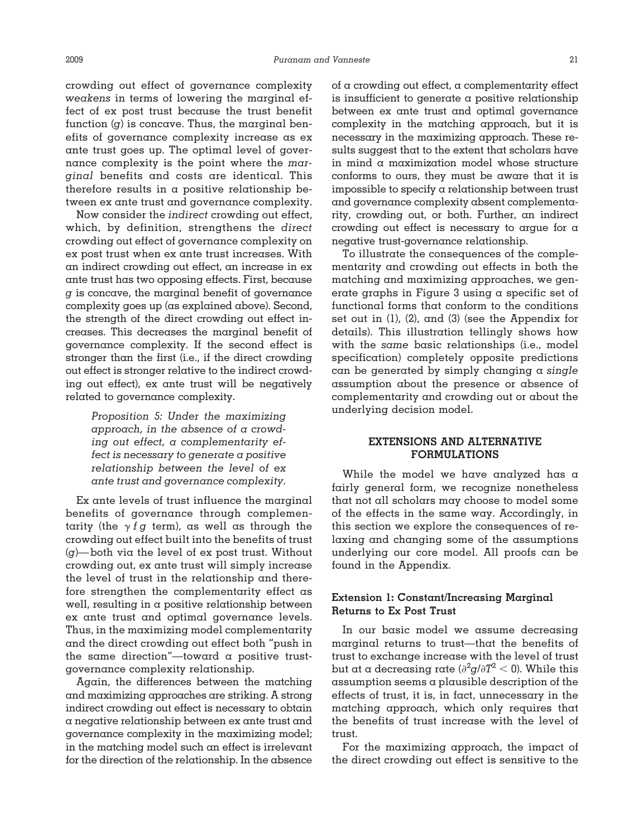crowding out effect of governance complexity *weakens* in terms of lowering the marginal effect of ex post trust because the trust benefit function (*g*) is concave. Thus, the marginal benefits of governance complexity increase as ex ante trust goes up. The optimal level of governance complexity is the point where the *marginal* benefits and costs are identical. This therefore results in  $\alpha$  positive relationship between ex ante trust and governance complexity.

Now consider the *indirect* crowding out effect, which, by definition, strengthens the *direct* crowding out effect of governance complexity on ex post trust when ex ante trust increases. With an indirect crowding out effect, an increase in ex ante trust has two opposing effects. First, because *g* is concave, the marginal benefit of governance complexity goes up (as explained above). Second, the strength of the direct crowding out effect increases. This decreases the marginal benefit of governance complexity. If the second effect is stronger than the first (i.e., if the direct crowding out effect is stronger relative to the indirect crowding out effect), ex ante trust will be negatively related to governance complexity.

> *Proposition 5: Under the maximizing approach, in the absence of a crowding out effect, a complementarity effect is necessary to generate a positive relationship between the level of ex ante trust and governance complexity.*

Ex ante levels of trust influence the marginal benefits of governance through complementarity (the  $\gamma$  f g term), as well as through the crowding out effect built into the benefits of trust (*g*)—both via the level of ex post trust. Without crowding out, ex ante trust will simply increase the level of trust in the relationship and therefore strengthen the complementarity effect as well, resulting in a positive relationship between ex ante trust and optimal governance levels. Thus, in the maximizing model complementarity and the direct crowding out effect both "push in the same direction"—toward a positive trustgovernance complexity relationship.

Again, the differences between the matching and maximizing approaches are striking. A strong indirect crowding out effect is necessary to obtain a negative relationship between ex ante trust and governance complexity in the maximizing model; in the matching model such an effect is irrelevant for the direction of the relationship. In the absence of a crowding out effect, a complementarity effect is insufficient to generate a positive relationship between ex ante trust and optimal governance complexity in the matching approach, but it is necessary in the maximizing approach. These results suggest that to the extent that scholars have in mind a maximization model whose structure conforms to ours, they must be aware that it is impossible to specify a relationship between trust and governance complexity absent complementarity, crowding out, or both. Further, an indirect crowding out effect is necessary to argue for a negative trust-governance relationship.

To illustrate the consequences of the complementarity and crowding out effects in both the matching and maximizing approaches, we generate graphs in Figure 3 using a specific set of functional forms that conform to the conditions set out in (1), (2), and (3) (see the Appendix for details). This illustration tellingly shows how with the *same* basic relationships (i.e., model specification) completely opposite predictions can be generated by simply changing a *single* assumption about the presence or absence of complementarity and crowding out or about the underlying decision model.

## **EXTENSIONS AND ALTERNATIVE FORMULATIONS**

While the model we have analyzed has a fairly general form, we recognize nonetheless that not all scholars may choose to model some of the effects in the same way. Accordingly, in this section we explore the consequences of relaxing and changing some of the assumptions underlying our core model. All proofs can be found in the Appendix.

## **Extension 1: Constant/Increasing Marginal Returns to Ex Post Trust**

In our basic model we assume decreasing marginal returns to trust—that the benefits of trust to exchange increase with the level of trust but at a decreasing rate ( $\partial^2 g / \partial T^2 <$  0). While this assumption seems a plausible description of the effects of trust, it is, in fact, unnecessary in the matching approach, which only requires that the benefits of trust increase with the level of trust.

For the maximizing approach, the impact of the direct crowding out effect is sensitive to the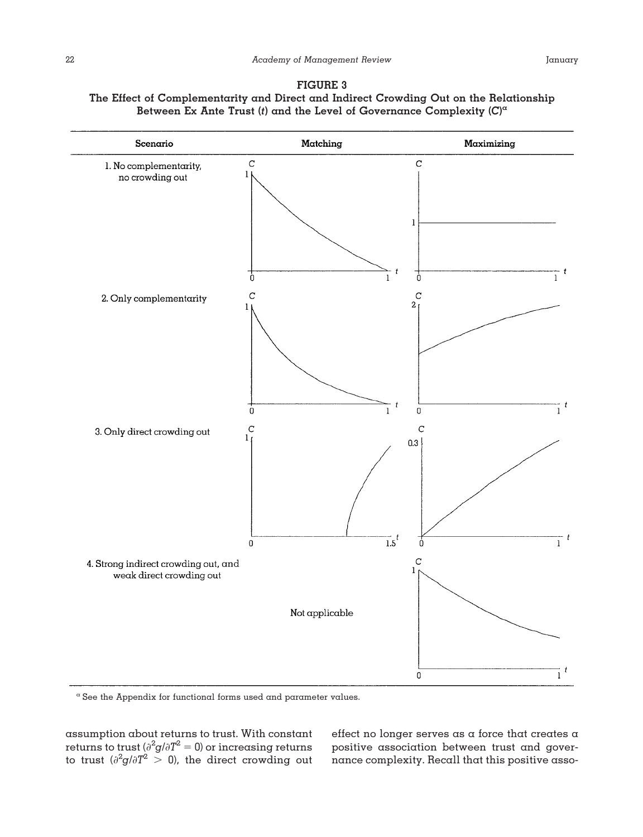



<sup>a</sup> See the Appendix for functional forms used and parameter values.

assumption about returns to trust. With constant returns to trust ( $\partial^2 g / \partial T^2 = 0$ ) or increasing returns to trust  $(\partial^2 g / \partial T^2 > 0)$ , the direct crowding out

effect no longer serves as a force that creates a positive association between trust and governance complexity. Recall that this positive asso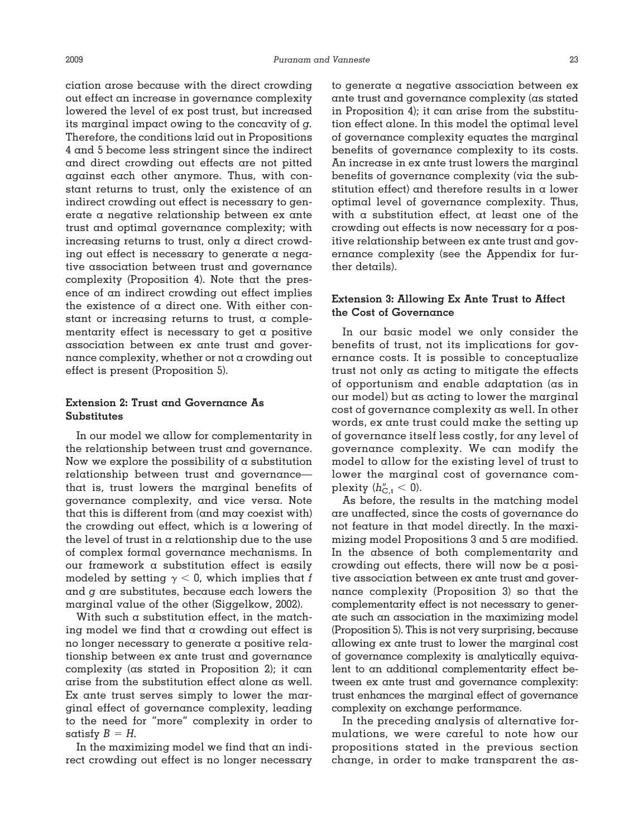ciation arose because with the direct crowding out effect an increase in governance complexity lowered the level of ex post trust, but increased its marginal impact owing to the concavity of *g.* Therefore, the conditions laid out in Propositions 4 and 5 become less stringent since the indirect and direct crowding out effects are not pitted against each other anymore. Thus, with constant returns to trust, only the existence of an indirect crowding out effect is necessary to generate a negative relationship between ex ante trust and optimal governance complexity; with increasing returns to trust, only a direct crowding out effect is necessary to generate a negative association between trust and governance complexity (Proposition 4). Note that the presence of an indirect crowding out effect implies the existence of a direct one. With either constant or increasing returns to trust, a complementarity effect is necessary to get a positive association between ex ante trust and governance complexity, whether or not a crowding out effect is present (Proposition 5).

# **Extension 2: Trust and Governance As Substitutes**

In our model we allow for complementarity in the relationship between trust and governance. Now we explore the possibility of  $\alpha$  substitution relationship between trust and governance that is, trust lowers the marginal benefits of governance complexity, and vice versa. Note that this is different from (and may coexist with) the crowding out effect, which is a lowering of the level of trust in  $\alpha$  relationship due to the use of complex formal governance mechanisms. In our framework a substitution effect is easily modeled by setting  $\gamma < 0$ , which implies that *f* and *g* are substitutes, because each lowers the marginal value of the other (Siggelkow, 2002).

With such  $\alpha$  substitution effect, in the matching model we find that a crowding out effect is no longer necessary to generate a positive relationship between ex ante trust and governance complexity (as stated in Proposition 2); it can arise from the substitution effect alone as well. Ex ante trust serves simply to lower the marginal effect of governance complexity, leading to the need for "more" complexity in order to satisfy  $B = H$ .

In the maximizing model we find that an indirect crowding out effect is no longer necessary to generate a negative association between ex ante trust and governance complexity (as stated in Proposition 4); it can arise from the substitution effect alone. In this model the optimal level of governance complexity equates the marginal benefits of governance complexity to its costs. An increase in ex ante trust lowers the marginal benefits of governance complexity (via the substitution effect) and therefore results in a lower optimal level of governance complexity. Thus, with a substitution effect, at least one of the crowding out effects is now necessary for a positive relationship between ex ante trust and governance complexity (see the Appendix for further details).

## **Extension 3: Allowing Ex Ante Trust to Affect the Cost of Governance**

In our basic model we only consider the benefits of trust, not its implications for governance costs. It is possible to conceptualize trust not only as acting to mitigate the effects of opportunism and enable adaptation (as in our model) but as acting to lower the marginal cost of governance complexity as well. In other words, ex ante trust could make the setting up of governance itself less costly, for any level of governance complexity. We can modify the model to allow for the existing level of trust to lower the marginal cost of governance complexity  $(h''_{C,t} < 0)$ .

As before, the results in the matching model are unaffected, since the costs of governance do not feature in that model directly. In the maximizing model Propositions 3 and 5 are modified. In the absence of both complementarity and crowding out effects, there will now be a positive association between ex ante trust and governance complexity (Proposition 3) so that the complementarity effect is not necessary to generate such an association in the maximizing model (Proposition 5). This is not very surprising, because allowing ex ante trust to lower the marginal cost of governance complexity is analytically equivalent to an additional complementarity effect between ex ante trust and governance complexity: trust enhances the marginal effect of governance complexity on exchange performance.

In the preceding analysis of alternative formulations, we were careful to note how our propositions stated in the previous section change, in order to make transparent the as-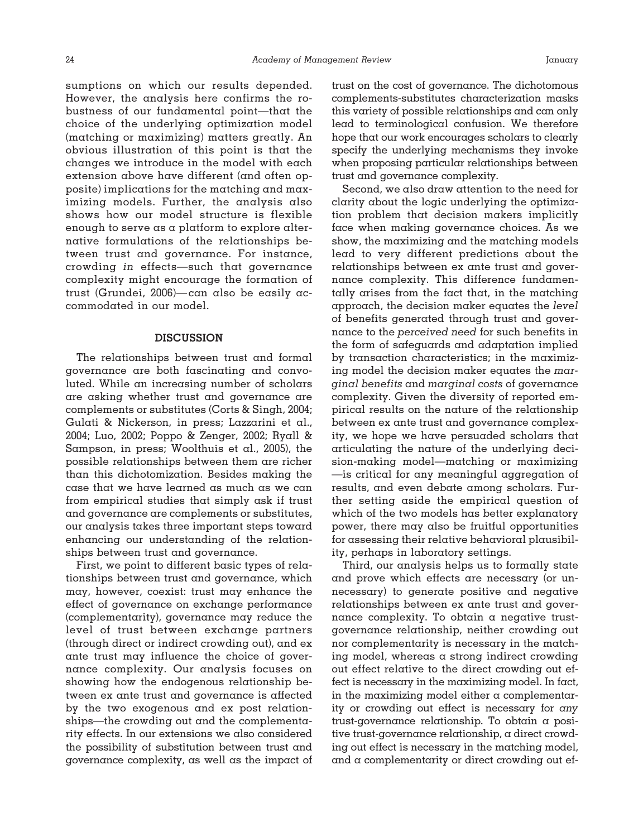sumptions on which our results depended. However, the analysis here confirms the robustness of our fundamental point—that the choice of the underlying optimization model (matching or maximizing) matters greatly. An obvious illustration of this point is that the changes we introduce in the model with each extension above have different (and often opposite) implications for the matching and maximizing models. Further, the analysis also shows how our model structure is flexible enough to serve as a platform to explore alternative formulations of the relationships between trust and governance. For instance, crowding *in* effects—such that governance complexity might encourage the formation of trust (Grundei, 2006)— can also be easily accommodated in our model.

#### **DISCUSSION**

The relationships between trust and formal governance are both fascinating and convoluted. While an increasing number of scholars are asking whether trust and governance are complements or substitutes (Corts & Singh, 2004; Gulati & Nickerson, in press; Lazzarini et al., 2004; Luo, 2002; Poppo & Zenger, 2002; Ryall & Sampson, in press; Woolthuis et al., 2005), the possible relationships between them are richer than this dichotomization. Besides making the case that we have learned as much as we can from empirical studies that simply ask if trust and governance are complements or substitutes, our analysis takes three important steps toward enhancing our understanding of the relationships between trust and governance.

First, we point to different basic types of relationships between trust and governance, which may, however, coexist: trust may enhance the effect of governance on exchange performance (complementarity), governance may reduce the level of trust between exchange partners (through direct or indirect crowding out), and ex ante trust may influence the choice of governance complexity. Our analysis focuses on showing how the endogenous relationship between ex ante trust and governance is affected by the two exogenous and ex post relationships—the crowding out and the complementarity effects. In our extensions we also considered the possibility of substitution between trust and governance complexity, as well as the impact of

trust on the cost of governance. The dichotomous complements-substitutes characterization masks this variety of possible relationships and can only lead to terminological confusion. We therefore hope that our work encourages scholars to clearly specify the underlying mechanisms they invoke when proposing particular relationships between trust and governance complexity.

Second, we also draw attention to the need for clarity about the logic underlying the optimization problem that decision makers implicitly face when making governance choices. As we show, the maximizing and the matching models lead to very different predictions about the relationships between ex ante trust and governance complexity. This difference fundamentally arises from the fact that, in the matching approach, the decision maker equates the *level* of benefits generated through trust and governance to the *perceived need* for such benefits in the form of safeguards and adaptation implied by transaction characteristics; in the maximizing model the decision maker equates the *marginal benefits* and *marginal costs* of governance complexity. Given the diversity of reported empirical results on the nature of the relationship between ex ante trust and governance complexity, we hope we have persuaded scholars that articulating the nature of the underlying decision-making model—matching or maximizing —is critical for any meaningful aggregation of results, and even debate among scholars. Further setting aside the empirical question of which of the two models has better explanatory power, there may also be fruitful opportunities for assessing their relative behavioral plausibility, perhaps in laboratory settings.

Third, our analysis helps us to formally state and prove which effects are necessary (or unnecessary) to generate positive and negative relationships between ex ante trust and governance complexity. To obtain a negative trustgovernance relationship, neither crowding out nor complementarity is necessary in the matching model, whereas a strong indirect crowding out effect relative to the direct crowding out effect is necessary in the maximizing model. In fact, in the maximizing model either  $\alpha$  complementarity or crowding out effect is necessary for *any* trust-governance relationship. To obtain a positive trust-governance relationship, a direct crowding out effect is necessary in the matching model, and a complementarity or direct crowding out ef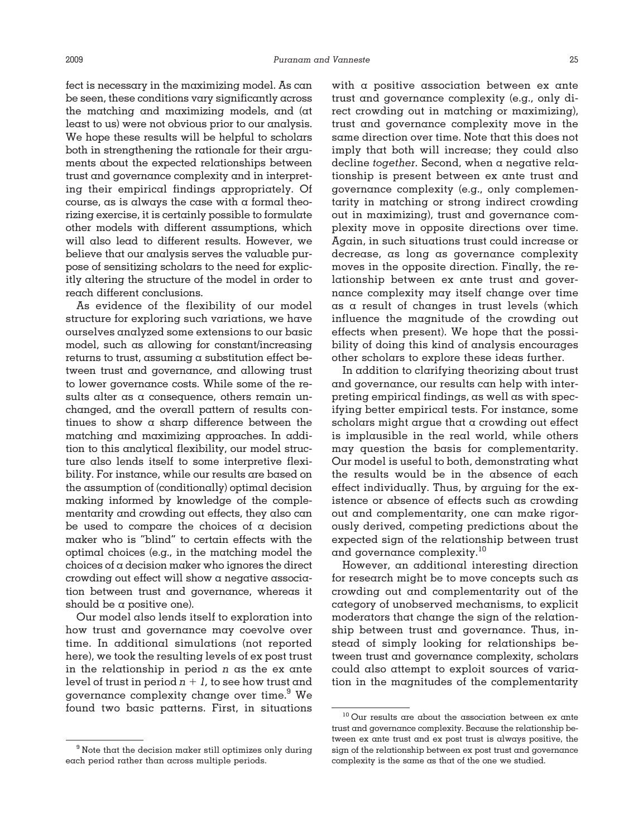fect is necessary in the maximizing model. As can be seen, these conditions vary significantly across the matching and maximizing models, and (at least to us) were not obvious prior to our analysis. We hope these results will be helpful to scholars both in strengthening the rationale for their arguments about the expected relationships between trust and governance complexity and in interpreting their empirical findings appropriately. Of course, as is always the case with a formal theorizing exercise, it is certainly possible to formulate other models with different assumptions, which will also lead to different results. However, we believe that our analysis serves the valuable purpose of sensitizing scholars to the need for explicitly altering the structure of the model in order to reach different conclusions.

As evidence of the flexibility of our model structure for exploring such variations, we have ourselves analyzed some extensions to our basic model, such as allowing for constant/increasing returns to trust, assuming a substitution effect between trust and governance, and allowing trust to lower governance costs. While some of the results alter as a consequence, others remain unchanged, and the overall pattern of results continues to show a sharp difference between the matching and maximizing approaches. In addition to this analytical flexibility, our model structure also lends itself to some interpretive flexibility. For instance, while our results are based on the assumption of (conditionally) optimal decision making informed by knowledge of the complementarity and crowding out effects, they also can be used to compare the choices of a decision maker who is "blind" to certain effects with the optimal choices (e.g., in the matching model the choices of a decision maker who ignores the direct crowding out effect will show a negative association between trust and governance, whereas it should be a positive one).

Our model also lends itself to exploration into how trust and governance may coevolve over time. In additional simulations (not reported here), we took the resulting levels of ex post trust in the relationship in period *n* as the ex ante level of trust in period  $n + l$ , to see how trust and governance complexity change over time.<sup>9</sup> We found two basic patterns. First, in situations

with a positive association between ex ante trust and governance complexity (e.g., only direct crowding out in matching or maximizing), trust and governance complexity move in the same direction over time. Note that this does not imply that both will increase; they could also decline *together.* Second, when a negative relationship is present between ex ante trust and governance complexity (e.g., only complementarity in matching or strong indirect crowding out in maximizing), trust and governance complexity move in opposite directions over time. Again, in such situations trust could increase or decrease, as long as governance complexity moves in the opposite direction. Finally, the relationship between ex ante trust and governance complexity may itself change over time as a result of changes in trust levels (which influence the magnitude of the crowding out effects when present). We hope that the possibility of doing this kind of analysis encourages other scholars to explore these ideas further.

In addition to clarifying theorizing about trust and governance, our results can help with interpreting empirical findings, as well as with specifying better empirical tests. For instance, some scholars might argue that a crowding out effect is implausible in the real world, while others may question the basis for complementarity. Our model is useful to both, demonstrating what the results would be in the absence of each effect individually. Thus, by arguing for the existence or absence of effects such as crowding out and complementarity, one can make rigorously derived, competing predictions about the expected sign of the relationship between trust and governance complexity.10

However, an additional interesting direction for research might be to move concepts such as crowding out and complementarity out of the category of unobserved mechanisms, to explicit moderators that change the sign of the relationship between trust and governance. Thus, instead of simply looking for relationships between trust and governance complexity, scholars could also attempt to exploit sources of variation in the magnitudes of the complementarity

 $9$  Note that the decision maker still optimizes only during each period rather than across multiple periods.

<sup>&</sup>lt;sup>10</sup> Our results are about the association between ex ante trust and governance complexity. Because the relationship between ex ante trust and ex post trust is always positive, the sign of the relationship between ex post trust and governance complexity is the same as that of the one we studied.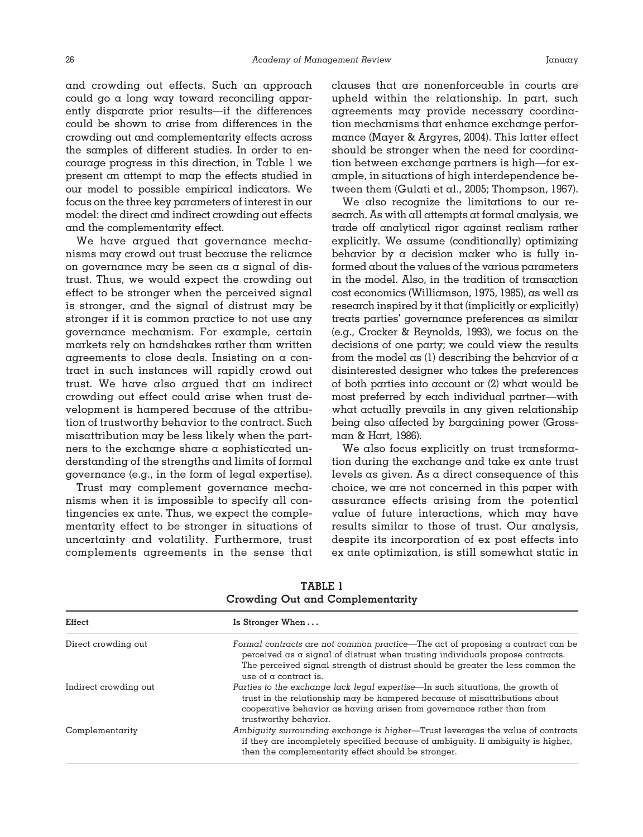and crowding out effects. Such an approach could go a long way toward reconciling apparently disparate prior results—if the differences could be shown to arise from differences in the crowding out and complementarity effects across the samples of different studies. In order to encourage progress in this direction, in Table 1 we present an attempt to map the effects studied in our model to possible empirical indicators. We focus on the three key parameters of interest in our model: the direct and indirect crowding out effects and the complementarity effect.

We have argued that governance mechanisms may crowd out trust because the reliance on governance may be seen as a signal of distrust. Thus, we would expect the crowding out effect to be stronger when the perceived signal is stronger, and the signal of distrust may be stronger if it is common practice to not use any governance mechanism. For example, certain markets rely on handshakes rather than written agreements to close deals. Insisting on a contract in such instances will rapidly crowd out trust. We have also argued that an indirect crowding out effect could arise when trust development is hampered because of the attribution of trustworthy behavior to the contract. Such misattribution may be less likely when the partners to the exchange share a sophisticated understanding of the strengths and limits of formal governance (e.g., in the form of legal expertise).

Trust may complement governance mechanisms when it is impossible to specify all contingencies ex ante. Thus, we expect the complementarity effect to be stronger in situations of uncertainty and volatility. Furthermore, trust complements agreements in the sense that clauses that are nonenforceable in courts are upheld within the relationship. In part, such agreements may provide necessary coordination mechanisms that enhance exchange performance (Mayer & Argyres, 2004). This latter effect should be stronger when the need for coordination between exchange partners is high—for example, in situations of high interdependence between them (Gulati et al., 2005; Thompson, 1967).

We also recognize the limitations to our research. As with all attempts at formal analysis, we trade off analytical rigor against realism rather explicitly. We assume (conditionally) optimizing behavior by a decision maker who is fully informed about the values of the various parameters in the model. Also, in the tradition of transaction cost economics (Williamson, 1975, 1985), as well as research inspired by it that (implicitly or explicitly) treats parties' governance preferences as similar (e.g., Crocker & Reynolds, 1993), we focus on the decisions of one party; we could view the results from the model as (1) describing the behavior of  $\alpha$ disinterested designer who takes the preferences of both parties into account or (2) what would be most preferred by each individual partner—with what actually prevails in any given relationship being also affected by bargaining power (Grossman & Hart, 1986).

We also focus explicitly on trust transformation during the exchange and take ex ante trust levels as given. As a direct consequence of this choice, we are not concerned in this paper with assurance effects arising from the potential value of future interactions, which may have results similar to those of trust. Our analysis, despite its incorporation of ex post effects into ex ante optimization, is still somewhat static in

| Effect                | Is Stronger When                                                                                                                                                                                                                                                                     |  |
|-----------------------|--------------------------------------------------------------------------------------------------------------------------------------------------------------------------------------------------------------------------------------------------------------------------------------|--|
| Direct crowding out   | Formal contracts are not common practice—The act of proposing a contract can be<br>perceived as a signal of distrust when trusting individuals propose contracts.<br>The perceived signal strength of distrust should be greater the less common the<br>use of $\alpha$ contract is. |  |
| Indirect crowding out | Parties to the exchange lack legal expertise—In such situations, the growth of<br>trust in the relationship may be hampered because of misattributions about<br>cooperative behavior as having arisen from governance rather than from<br>trustworthy behavior.                      |  |
| Complementarity       | Ambiguity surrounding exchange is higher—Trust leverages the value of contracts<br>if they are incompletely specified because of ambiguity. If ambiguity is higher,<br>then the complementarity effect should be stronger.                                                           |  |

**TABLE 1 Crowding Out and Complementarity**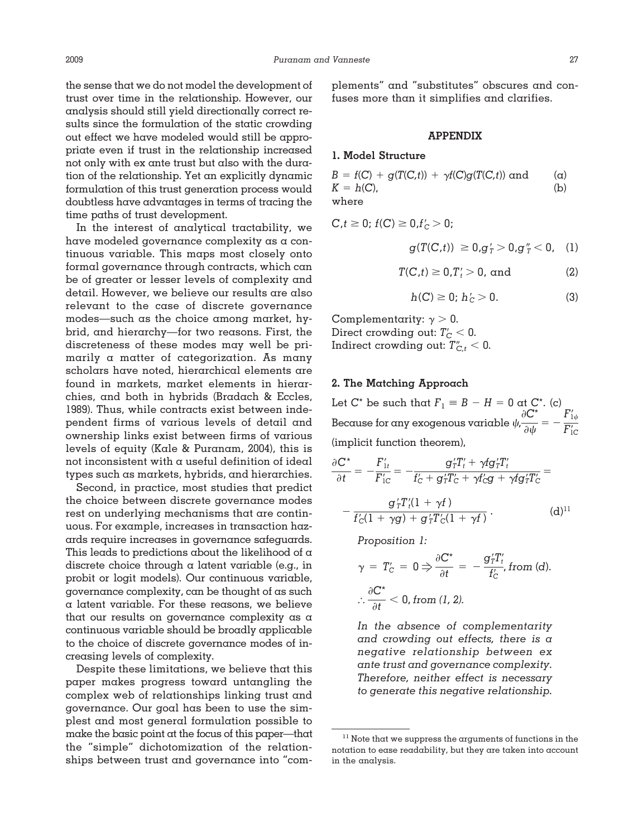the sense that we do not model the development of trust over time in the relationship. However, our analysis should still yield directionally correct results since the formulation of the static crowding out effect we have modeled would still be appropriate even if trust in the relationship increased not only with ex ante trust but also with the duration of the relationship. Yet an explicitly dynamic formulation of this trust generation process would doubtless have advantages in terms of tracing the time paths of trust development.

In the interest of analytical tractability, we have modeled governance complexity as a continuous variable. This maps most closely onto formal governance through contracts, which can be of greater or lesser levels of complexity and detail. However, we believe our results are also relevant to the case of discrete governance modes—such as the choice among market, hybrid, and hierarchy—for two reasons. First, the discreteness of these modes may well be primarily a matter of categorization. As many scholars have noted, hierarchical elements are found in markets, market elements in hierarchies, and both in hybrids (Bradach & Eccles, 1989). Thus, while contracts exist between independent firms of various levels of detail and ownership links exist between firms of various levels of equity (Kale & Puranam, 2004), this is not inconsistent with  $\alpha$  useful definition of ideal types such as markets, hybrids, and hierarchies.

Second, in practice, most studies that predict the choice between discrete governance modes rest on underlying mechanisms that are continuous. For example, increases in transaction hazards require increases in governance safeguards. This leads to predictions about the likelihood of  $\alpha$ discrete choice through a latent variable (e.g., in probit or logit models). Our continuous variable, governance complexity, can be thought of as such a latent variable. For these reasons, we believe that our results on governance complexity as a continuous variable should be broadly applicable to the choice of discrete governance modes of increasing levels of complexity.

Despite these limitations, we believe that this paper makes progress toward untangling the complex web of relationships linking trust and governance. Our goal has been to use the simplest and most general formulation possible to make the basic point at the focus of this paper—that the "simple" dichotomization of the relationships between trust and governance into "complements" and "substitutes" obscures and confuses more than it simplifies and clarifies.

#### **APPENDIX**

## **1. Model Structure**

| $B = f(C) + g(T(C,t)) + \gamma f(C)g(T(C,t))$ and | $(\alpha)$ |
|---------------------------------------------------|------------|
| $K = h(C)$ .                                      | (b)        |
| where                                             |            |

$$
C, t \geq 0; f(C) \geq 0, f'_{C} > 0;
$$

$$
g(T(C,t)) \geq 0, g'_T > 0, g''_T < 0, \quad (1)
$$

$$
T(C,t) \ge 0, T'_t > 0, \text{ and } \qquad (2)
$$

$$
h(C) \ge 0; h'_{C} > 0.
$$
 (3)

Complementarity:  $\gamma > 0$ . Direct crowding out:  $T_C < 0$ . Indirect crowding out:  $T''_{C,t} < 0$ .

## **2. The Matching Approach**

Let  $C^*$  be such that  $F_1 \equiv B - H = 0$  at  $C^*$ . (c) Because for any exogenous variable  $\psi$ ,  $\partial C^*$  $\frac{\partial \boldsymbol{C}^*}{\partial \boldsymbol{\psi}} = -\, \frac{F'_{1\psi}}{F'_{1\mathbf{C}}}$  $F_{\rm 1C}^\prime$ (implicit function theorem),

$$
\frac{\partial C^*}{\partial t} = -\frac{F'_{1t}}{F'_{1C}} = -\frac{g'_T T'_t + \gamma f g'_T T'_t}{f'_C + g'_T T'_C + \gamma f'_C g + \gamma f g'_T T'_C} = -\frac{g'_T T'_t (1 + \gamma f)}{f'_C (1 + \gamma g) + g'_T T'_C (1 + \gamma f)}.
$$
 (d)<sup>11</sup>

*Proposition 1:*

$$
\gamma = T'_C = 0 \Rightarrow \frac{\partial C^*}{\partial t} = -\frac{g'_T T'_t}{f'_C}, \text{ from (d).}
$$

$$
\therefore \frac{\partial C^*}{\partial t} < 0, \text{ from (1, 2).}
$$

*In the absence of complementarity and crowding out effects, there is a negative relationship between ex ante trust and governance complexity. Therefore, neither effect is necessary to generate this negative relationship.*

 $11$  Note that we suppress the arguments of functions in the notation to ease readability, but they are taken into account in the analysis.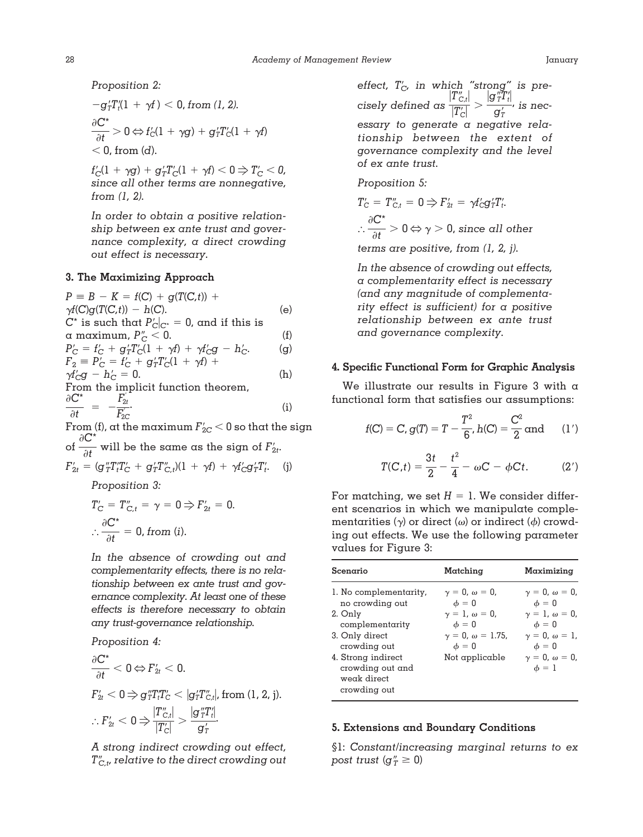*Proposition 2:*

$$
-g'_T T_i'(1 + \gamma f) < 0, \text{ from } (1, 2).
$$
  
\n
$$
\frac{\partial C^*}{\partial t} > 0 \Leftrightarrow f'_C(1 + \gamma g) + g'_T T'_C(1 + \gamma f)
$$
  
\n
$$
< 0, \text{ from } (d).
$$

 $f_C'(1 + \gamma g) + g_T'T_C'(1 + \gamma f) < 0 \Rightarrow T_C' < 0$ , *since all other terms are nonnegative, from (1, 2).*

*In order to obtain a positive relationship between ex ante trust and governance complexity, a direct crowding out effect is necessary.*

#### **3. The Maximizing Approach**

 $P = B - K = f(C) + g(T(C,t)) +$  $\gamma f(C)g(T(C,t)) - h(C).$  (e)  $C^*$  is such that  $P_C'|_{C^*} = 0$ , and if this is a maximum,  $P''_C < 0$ . (f)<br>  $P'_C = f'_C + q'_T f'_C (1 + \gamma f) + \gamma f'_C g - h'_C$ . (g)  $P'_{\rm C} = f'_{\rm C} + g'_{\rm T}T'_{\rm C}(1 + \gamma f) + \gamma f'_{\rm C}g - h'_{\rm C}.$  (g)  $F_2 \equiv P'_C = f'_C + g'_T T'_C (1 + \gamma f) +$  $\gamma f'_{\rm C} g - h'_{\rm C} = 0.$  (h) From the implicit function theorem,  $\partial C^*$  $\frac{C^*}{\partial t}$  =  $-\frac{F'_{2t}}{F'_{2c}}$  $F_{\rm 2C}^{'}$  $\ddot{\hspace{1.5cm}}$ . (i)

From (f), at the maximum  $F_{\rm 2C}^{\prime}$   $<$  0 so that the sign of  $\partial C^*$  $\frac{\partial f}{\partial t}$  will be the same as the sign of  $F'_{2t}$ .  $F'_{2t} = (g''_T T'_t T'_C + g'_T T''_{C,t})(1 + \gamma f) + \gamma f'_C g'_T T'_t.$  (j)

*Proposition 3:*

$$
T'_{C} = T''_{C,t} = \gamma = 0 \Rightarrow F'_{2t} = 0.
$$

$$
\therefore \frac{\partial C^*}{\partial t} = 0, \text{ from (i)}.
$$

*In the absence of crowding out and complementarity effects, there is no relationship between ex ante trust and governance complexity. At least one of these effects is therefore necessary to obtain any trust-governance relationship.*

*Proposition 4:*  $\partial C^*$  $\frac{1}{\partial t}$   $<$  0  $\Leftrightarrow$   $F'_{2t}$   $<$  0.  $F_{2t}' < 0$   $\Rightarrow$   $g_T'' T_t'' T_c' < |g_T' T_{C,t}''|$ , from (1, 2, j).  $\therefore$   $F'_{2t}$   $<$  0  $\Rightarrow$   $\frac{|T''_{C,t}|}{|T'|\overline{T''}}$  $\frac{\left|T''_{C,t}\right|}{\left|T'_C\right|} > \frac{\left|g\right|_T''T'_t|}{g'_T}$ *g T* .

*A strong indirect crowding out effect, TC,t , relative to the direct crowding out*

*effect, T C, in which "strong" is pre-* $\frac{|T''_{C,t}|}{|T'|}$  $\frac{\left|T^{\prime\prime}_{C,t}\right|}{\left|T^{\prime}_{C}\right|}>\frac{\left|{\bf g}\substack{TTt}\right|}{\left|{\bf g}\substack{r}\right|}$  $\frac{T^2 t}{T^2}$ , is nec*essary to generate a negative relationship between the extent of governance complexity and the level of ex ante trust.*

*Proposition 5:*

 $T_{C}' = T_{C,t}'' = 0 \Rightarrow F_{2t}' = \gamma f_C' g_T' T_{t}'$  $\vdots$  $\partial C^*$  $\overline{\partial t} > 0 \Leftrightarrow \gamma > 0$ , since all other *terms are positive, from (1, 2, j).*

*In the absence of crowding out effects, a complementarity effect is necessary (and any magnitude of complementarity effect is sufficient) for a positive relationship between ex ante trust and governance complexity.*

#### **4. Specific Functional Form for Graphic Analysis**

We illustrate our results in Figure 3 with  $\alpha$ functional form that satisfies our assumptions:

$$
f(C) = C, g(T) = T - \frac{T^2}{6}, h(C) = \frac{C^2}{2} \text{ and } (1')
$$

$$
T(C,t) = \frac{3t}{2} - \frac{t^2}{4} - \omega C - \phi Ct.
$$
 (2')

For matching, we set  $H = 1$ . We consider different scenarios in which we manipulate complementarities ( $\gamma$ ) or direct ( $\omega$ ) or indirect ( $\phi$ ) crowding out effects. We use the following parameter values for Figure 3:

| Scenario                                                                                                                                                                           | Matching                                                                                                                                           | Maximizing                                                                                                                                                                |
|------------------------------------------------------------------------------------------------------------------------------------------------------------------------------------|----------------------------------------------------------------------------------------------------------------------------------------------------|---------------------------------------------------------------------------------------------------------------------------------------------------------------------------|
| l. No complementarity,<br>no crowding out<br>2. Only<br>complementarity<br>3. Only direct<br>crowding out<br>4. Strong indirect<br>crowding out and<br>weak direct<br>crowding out | $\gamma = 0, \omega = 0,$<br>$\phi = 0$<br>$\gamma = 1, \omega = 0,$<br>$\phi = 0$<br>$\gamma = 0, \omega = 1.75,$<br>$\phi = 0$<br>Not applicable | $\gamma = 0, \omega = 0,$<br>$\phi = 0$<br>$\gamma = 1, \omega = 0,$<br>$\phi=0$<br>$\gamma = 0, \omega = 1$ ,<br>$\phi=0$<br>$\gamma = 0$ , $\omega = 0$ ,<br>$\phi = 1$ |

#### **5. Extensions and Boundary Conditions**

§1: *Constant/increasing marginal returns to ex post trust* ( $g''_T \ge 0$ )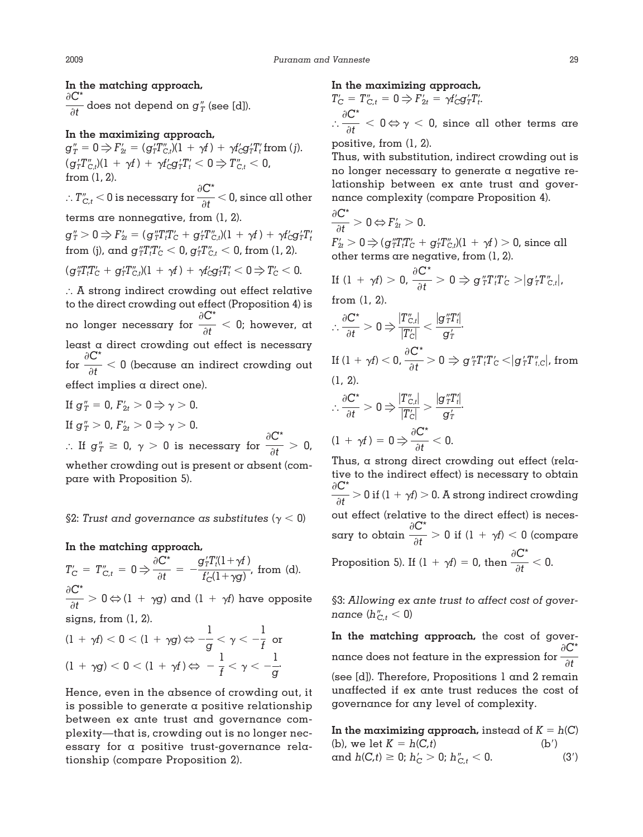**In the matching approach,**  $\partial C^*$  $\frac{1}{\partial t}$  does not depend on  $g''_T$  (see [d]).

## **In the maximizing approach,**

 $g''_T = 0 \Rightarrow F'_{2t} = (g'_T T''_{C,t})(1 + \gamma t) + \gamma t'_C g'_T T'_t \text{ from } (j).$  $\gamma_0 (g_T^{\prime} T_{C,t}^{\prime\prime})(1 \ + \ \gamma f) \ + \ \gamma f_C^{\prime} g_T^{\prime} T_{t}^{\prime} < 0 \Rightarrow T_{C,t}^{\prime\prime} < 0,$ from (1, 2).

 $1 T_{C,t}^{\prime\prime} < 0$  is necessary for  $\partial C^*$  $\frac{1}{\partial t}$   $<$  0, since all other

terms are nonnegative, from (1, 2).

 $g''_T > 0 \Rightarrow F'_{2t} = (g''_T T'_t T'_C + g'_T T''_{C,t})(1 + \gamma f) + \gamma f'_C g'_T T'_t$ from (j), and  $g^{\prime\prime}_\mathit{T} T^\prime_\mathit{t} T^\prime_\mathit{C} < 0$ ,  $g^{\prime\prime}_\mathit{T} T^\prime_{\mathit{C},t} < 0$ , from (1, 2).

 $\lambda(\textbf{g}_T'' T_t' T_C' + \textbf{g}_T' T_{C,t}')(1 + \gamma f) + \gamma f_C' \textbf{g}_T' T_t' < 0 \Rightarrow T_C' < 0.$ 

 A strong indirect crowding out effect relative to the direct crowding out effect (Proposition 4) is no longer necessary for  $\partial C^*$  $\frac{\partial f}{\partial t}$  < 0; however, at least a direct crowding out effect is necessary for  $\partial C^*$  $\frac{\partial f}{\partial t}$  < 0 (because an indirect crowding out effect implies a direct one).

If 
$$
g''_T = 0
$$
,  $F'_{2t} > 0$  ⇒  $\gamma > 0$ .  
\nIf  $g''_T > 0$ ,  $F'_{2t} > 0$  ⇒  $\gamma > 0$ .  
\n∴ If  $g''_T \ge 0$ ,  $\gamma > 0$  is necessary for  $\frac{\partial C^*}{\partial t} > 0$ ,  
\nwhether crowding out is present or absent (com-  
\npare with Proposition 5).

## §2: Trust and governance as substitutes ( $\gamma$  < 0)

**In the matching approach,**

 $T_{C}^{\prime}~=~T_{C,t}^{\prime\prime}~=~0 \Rightarrow$  $\partial C^*$  $\frac{\partial \mathbf{C}^*}{\partial t} = -\frac{\mathbf{g}_T^\prime T_t^\prime \left(1+\gamma f\right)}{f_\text{C}^\prime \left(1+\gamma g\right)}$  $\frac{d}{d} f'_{\text{C}}(1+\gamma g)$ , from (d).  $\partial C^*$  $\frac{1}{\partial t} > 0 \Leftrightarrow$  (1 +  $\gamma$ g) and (1 +  $\gamma$ f) have opposite signs, from (1, 2).

$$
(1 + \gamma f) < 0 < (1 + \gamma g) \Leftrightarrow -\frac{1}{g} < \gamma < -\frac{1}{f} \text{ or}
$$
\n
$$
(1 + \gamma g) < 0 < (1 + \gamma f) \Leftrightarrow -\frac{1}{f} < \gamma < -\frac{1}{g}.
$$

Hence, even in the absence of crowding out, it is possible to generate a positive relationship between ex ante trust and governance complexity—that is, crowding out is no longer necessary for a positive trust-governance relationship (compare Proposition 2).

# **In the maximizing approach,**

 $T_{\mathrm{C}}' = T_{\mathrm{C},t}'' = 0 \Rightarrow F_{2t}' = \gamma f_{\mathrm{C}}' g_T' T_{t}'.$  $\vdots$  $\partial C^*$  $\frac{1}{\partial t}$  < 0  $\Leftrightarrow$   $\gamma$  < 0, since all other terms are

positive, from (1, 2).

Thus, with substitution, indirect crowding out is no longer necessary to generate a negative relationship between ex ante trust and governance complexity (compare Proposition 4).

$$
\frac{\partial \mathbf{C}^*}{\partial t} > 0 \Leftrightarrow F_{2t} > 0.
$$
\n
$$
F_{2t}' > 0 \Rightarrow (\mathbf{g}_T^{\prime\prime} T_t^{\prime\prime} T_c^{\prime\prime} + \mathbf{g}_T^{\prime} T_{Ct}^{\prime\prime})(1 + \gamma t) > 0, \text{ since all}
$$
\n
$$
\text{other terms are negative, from } (1, 2).
$$
\n
$$
F_{2t} = 0 \Rightarrow \mathbf{C}^* = 0 \Rightarrow \mathbf{C}^{\text{tr}} = \mathbf{C} \Rightarrow \mathbf{C}^{\text{tr}} = \mathbf{C} \Rightarrow \mathbf{C}^{\text{tr}} = \mathbf{C} \Rightarrow \mathbf{C}^{\text{tr}} = \mathbf{C} \Rightarrow \mathbf{C}^{\text{tr}} = \mathbf{C} \Rightarrow \mathbf{C}^{\text{tr}} = \mathbf{C} \Rightarrow \mathbf{C}^{\text{tr}} = \mathbf{C} \Rightarrow \mathbf{C}^{\text{tr}} = \mathbf{C} \Rightarrow \mathbf{C}^{\text{tr}} = \mathbf{C} \Rightarrow \mathbf{C}^{\text{tr}} = \mathbf{C} \Rightarrow \mathbf{C}^{\text{tr}} = \mathbf{C} \Rightarrow \mathbf{C}^{\text{tr}} = \mathbf{C} \Rightarrow \mathbf{C}^{\text{tr}} = \mathbf{C} \Rightarrow \mathbf{C}^{\text{tr}} = \mathbf{C} \Rightarrow \mathbf{C}^{\text{tr}} = \mathbf{C} \Rightarrow \mathbf{C}^{\text{tr}} = \mathbf{C} \Rightarrow \mathbf{C}^{\text{tr}} = \mathbf{C} \Rightarrow \mathbf{C}^{\text{tr}} = \mathbf{C} \Rightarrow \mathbf{C}^{\text{tr}} = \mathbf{C} \Rightarrow \mathbf{C}^{\text{tr}} = \mathbf{C} \Rightarrow \mathbf{C}^{\text{tr}} = \mathbf{C} \Rightarrow \mathbf{C}^{\text{tr}} = \mathbf{C} \Rightarrow \mathbf{C}^{\text{tr}} = \mathbf{C} \Rightarrow \mathbf{C}^{\text{tr}} = \mathbf{C} \Rightarrow \mathbf{C}^{\text{tr}} = \mathbf{C} \Rightarrow \mathbf{C}^{\text{tr}} = \mathbf{C} \Rightarrow \mathbf{C}^{\text{tr}} = \mathbf{C} \Rightarrow \mathbf{C}^{\text{tr}} = \mathbf
$$

If 
$$
(1 + \gamma f) > 0
$$
,  $\frac{\partial \mathcal{L}}{\partial t} > 0 \Rightarrow g''_T T'_t T'_C > |g'_T T''_{C,t}|$ ,  
from (1, 2).

$$
\therefore \frac{\partial C^*}{\partial t} > 0 \Rightarrow \frac{|T''_{C,t}|}{|T'_C|} < \frac{|g''_TT'_t|}{g'_T}.
$$
  
If  $(1 + \gamma f) < 0$ ,  $\frac{\partial C^*}{\partial t} > 0 \Rightarrow g''_TT'_TT'_C < |g'_TT''_{t,C}|$ , from  
(1, 2).

$$
\therefore \frac{\partial \mathbf{C}^*}{\partial t} > 0 \Rightarrow \frac{|T''_{C,t}|}{|T'_C|} > \frac{|g''_TT'_t|}{g'_T}.
$$
  
(1 +  $\gamma f$ ) = 0  $\Rightarrow \frac{\partial \mathbf{C}^*}{\partial t} < 0.$ 

Thus, a strong direct crowding out effect (relative to the indirect effect) is necessary to obtain  $\partial C^*$  $\frac{\partial f}{\partial t}$   $>$  0 if (1 +  $\gamma$ *f*)  $>$  0. A strong indirect crowding out effect (relative to the direct effect) is necessary to obtain  $\partial C^*$  $\frac{1}{\partial t} > 0$  if  $(1 + \gamma t) < 0$  (compare Proposition 5). If  $(1 + \gamma f) = 0$ , then  $\partial C^*$  $\frac{1}{\partial t}$  < 0.

§3: *Allowing ex ante trust to affect cost of governance*  $(h''_{C,t} < 0)$ 

**In the matching approach,** the cost of governance does not feature in the expression for  $\partial C^*$ *t* (see [d]). Therefore, Propositions 1 and 2 remain unaffected if ex ante trust reduces the cost of governance for any level of complexity.

In the maximizing approach, instead of  $K = h(C)$ (b), we let  $K = h(C, t)$  (b') and  $h(C,t) \ge 0$ ;  $h'_C > 0$ ;  $h''_{C,t} < 0$ . (3')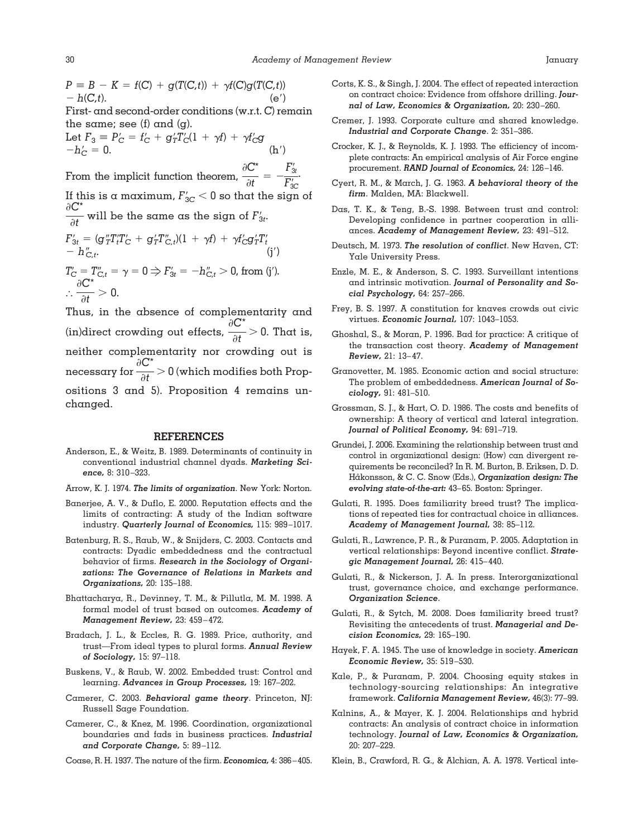$P = B - K = f(C) + g(T(C,t)) + \gamma f(C)g(T(C,t))$  $-h(C,t)$ . (e') First- and second-order conditions (w.r.t. *C*) remain the same; see (f) and (g). Let  $F_3 \equiv P'_C = f'_C + g'_T T'_C (1 + \gamma f) + \gamma f'_C g$  $-h'_C = 0.$  (h')  $\partial C^*$ .

From the implicit function theorem,  $\frac{\partial C^*}{\partial t} = -\frac{F'_{3t}}{F'_{3c}}$ *F* 3*C* If this is a maximum,  $F_{\rm 3C}^{\prime} < 0$  so that the sign of  $\partial C^*$  $\frac{\partial f}{\partial t}$  will be the same as the sign of  $F'_{3t}$ .

$$
F'_{3t} = (g''_{T}T'_{t}T'_{C} + g'_{T}T''_{C,t})(1 + \gamma f) + \gamma f'_{C}g'_{T}T'_{t}
$$
  
\n
$$
- h''_{C,t}.
$$
  
\n
$$
T'_{C} = T''_{C,t} = \gamma = 0 \Rightarrow F'_{3t} = -h''_{C,t} > 0, \text{ from (j').}
$$
  
\n
$$
\frac{\partial C^{*}}{\partial t} > 0.
$$

 $\frac{1}{\partial t} > 0.$ Thus, in the absence of complementarity and (in)direct crowding out effects,  $\partial C^*$  $\frac{1}{\partial t}$  > 0. That is, neither complementarity nor crowding out is necessary for  $\partial C^*$  $\frac{1}{\partial t} > 0$  (which modifies both Propositions 3 and 5). Proposition 4 remains unchanged.

#### **REFERENCES**

- Anderson, E., & Weitz, B. 1989. Determinants of continuity in conventional industrial channel dyads. *Marketing Science,* 8: 310 –323.
- Arrow, K. J. 1974. *The limits of organization*. New York: Norton.
- Banerjee, A. V., & Duflo, E. 2000. Reputation effects and the limits of contracting: A study of the Indian software industry. *Quarterly Journal of Economics,* 115: 989 –1017.
- Batenburg, R. S., Raub, W., & Snijders, C. 2003. Contacts and contracts: Dyadic embeddedness and the contractual behavior of firms. *Research in the Sociology of Organizations: The Governance of Relations in Markets and Organizations,* 20: 135–188.
- Bhattacharya, R., Devinney, T. M., & Pillutla, M. M. 1998. A formal model of trust based on outcomes. *Academy of Management Review,* 23: 459 – 472.
- Bradach, J. L., & Eccles, R. G. 1989. Price, authority, and trust—From ideal types to plural forms. *Annual Review of Sociology,* 15: 97–118.
- Buskens, V., & Raub, W. 2002. Embedded trust: Control and learning. *Advances in Group Processes,* 19: 167–202.
- Camerer, C. 2003. *Behavioral game theory*. Princeton, NJ: Russell Sage Foundation.
- Camerer, C., & Knez, M. 1996. Coordination, organizational boundaries and fads in business practices. *Industrial and Corporate Change,* 5: 89 –112.
- Coase, R. H. 1937. The nature of the firm. *Economica,* 4: 386 405.
- Corts, K. S., & Singh, J. 2004. The effect of repeated interaction on contract choice: Evidence from offshore drilling. *Journal of Law, Economics & Organization,* 20: 230 –260.
- Cremer, J. 1993. Corporate culture and shared knowledge. *Industrial and Corporate Change*. 2: 351–386.
- Crocker, K. J., & Reynolds, K. J. 1993. The efficiency of incomplete contracts: An empirical analysis of Air Force engine procurement. *RAND Journal of Economics,* 24: 126 –146.
- Cyert, R. M., & March, J. G. 1963. *A behavioral theory of the firm*. Malden, MA: Blackwell.
- Das, T. K., & Teng, B.-S. 1998. Between trust and control: Developing confidence in partner cooperation in alliances. *Academy of Management Review,* 23: 491–512.
- Deutsch, M. 1973. *The resolution of conflict*. New Haven, CT: Yale University Press.
- Enzle, M. E., & Anderson, S. C. 1993. Surveillant intentions and intrinsic motivation. *Journal of Personality and Social Psychology,* 64: 257–266.
- Frey, B. S. 1997. A constitution for knaves crowds out civic virtues. *Economic Journal,* 107: 1043–1053.
- Ghoshal, S., & Moran, P. 1996. Bad for practice: A critique of the transaction cost theory. *Academy of Management Review,* 21: 13– 47.
- Granovetter, M. 1985. Economic action and social structure: The problem of embeddedness. *American Journal of Sociology,* 91: 481–510.
- Grossman, S. J., & Hart, O. D. 1986. The costs and benefits of ownership: A theory of vertical and lateral integration. *Journal of Political Economy,* 94: 691–719.
- Grundei, J. 2006. Examining the relationship between trust and control in organizational design: (How) can divergent requirements be reconciled? In R. M. Burton, B. Eriksen, D. D. Håkonsson, & C. C. Snow (Eds.), *Organization design: The evolving state-of-the-art:* 43– 65. Boston: Springer.
- Gulati, R. 1995. Does familiarity breed trust? The implications of repeated ties for contractual choice in alliances. *Academy of Management Journal,* 38: 85–112.
- Gulati, R., Lawrence, P. R., & Puranam, P. 2005. Adaptation in vertical relationships: Beyond incentive conflict. *Strategic Management Journal,* 26: 415– 440.
- Gulati, R., & Nickerson, J. A. In press. Interorganizational trust, governance choice, and exchange performance. *Organization Science*.
- Gulati, R., & Sytch, M. 2008. Does familiarity breed trust? Revisiting the antecedents of trust. *Managerial and Decision Economics,* 29: 165–190.
- Hayek, F. A. 1945. The use of knowledge in society. *American Economic Review,* 35: 519 –530.
- Kale, P., & Puranam, P. 2004. Choosing equity stakes in technology-sourcing relationships: An integrative framework. *California Management Review,* 46(3): 77–99.
- Kalnins, A., & Mayer, K. J. 2004. Relationships and hybrid contracts: An analysis of contract choice in information technology. *Journal of Law, Economics & Organization,* 20: 207–229.
- Klein, B., Crawford, R. G., & Alchian, A. A. 1978. Vertical inte-